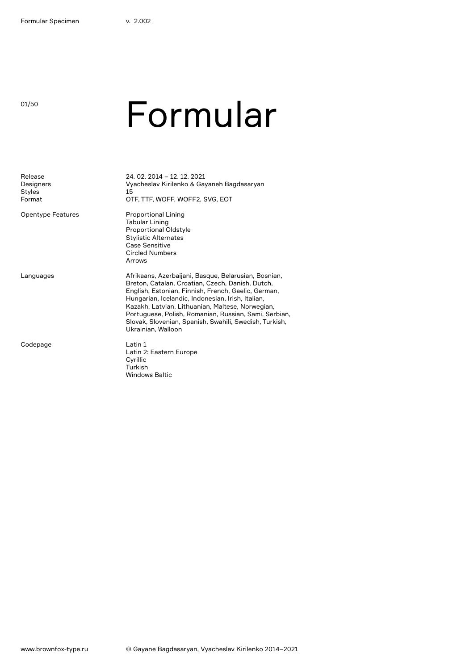01/50

## Formular

| Release<br>Designers<br>Styles<br>Format | 24, 02, 2014 - 12, 12, 2021<br>Vyacheslav Kirilenko & Gayaneh Bagdasaryan<br>15<br>OTF, TTF, WOFF, WOFF2, SVG, EOT                                                                                                                                                                                                                                                                                                |
|------------------------------------------|-------------------------------------------------------------------------------------------------------------------------------------------------------------------------------------------------------------------------------------------------------------------------------------------------------------------------------------------------------------------------------------------------------------------|
| <b>Opentype Features</b>                 | <b>Proportional Lining</b><br><b>Tabular Lining</b><br><b>Proportional Oldstyle</b><br><b>Stylistic Alternates</b><br>Case Sensitive<br><b>Circled Numbers</b><br>Arrows                                                                                                                                                                                                                                          |
| Languages                                | Afrikaans, Azerbaijani, Basque, Belarusian, Bosnian,<br>Breton, Catalan, Croatian, Czech, Danish, Dutch,<br>English, Estonian, Finnish, French, Gaelic, German,<br>Hungarian, Icelandic, Indonesian, Irish, Italian,<br>Kazakh, Latvian, Lithuanian, Maltese, Norwegian,<br>Portuguese, Polish, Romanian, Russian, Sami, Serbian,<br>Slovak, Slovenian, Spanish, Swahili, Swedish, Turkish,<br>Ukrainian, Walloon |
| Codepage                                 | Latin 1<br>Latin 2: Eastern Europe<br>Cyrillic<br>Turkish<br><b>Windows Baltic</b>                                                                                                                                                                                                                                                                                                                                |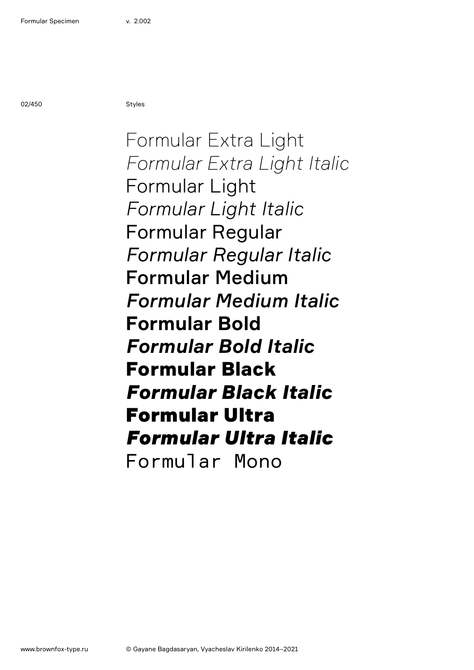02/450 Styles

Formular Extra Light *Formular Extra Light Italic* Formular Light *Formular Light Italic* Formular Regular *Formular Regular Italic* Formular Medium *Formular Medium Italic* **Formular Bold** *Formular Bold Italic* Formular Black *Formular Black Italic* Formular Ultra *Formular Ultra Italic* Formular Mono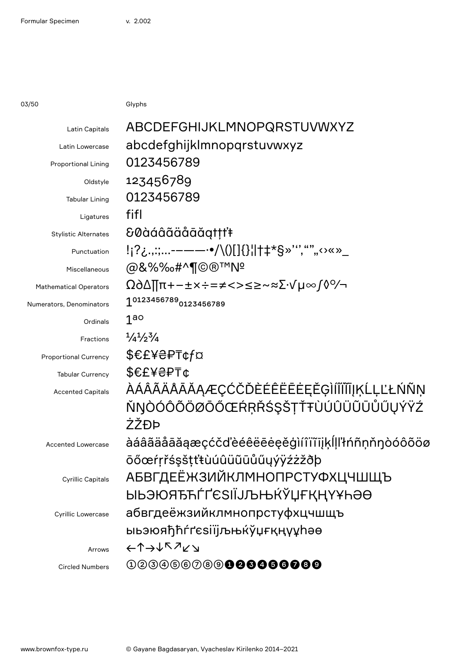03/50 Glyphs

| Latin Capitals                | ABCDEFGHIJKLMNOPQRSTUVWXYZ                                                     |
|-------------------------------|--------------------------------------------------------------------------------|
| Latin Lowercase               | abcdefghijklmnopqrstuvwxyz                                                     |
| <b>Proportional Lining</b>    | 0123456789                                                                     |
| Oldstyle                      | 123456789                                                                      |
| <b>Tabular Lining</b>         | 0123456789                                                                     |
| Ligatures                     | fifl                                                                           |
| <b>Stylistic Alternates</b>   | &0àáâãäåāăgtṭṭ'ŧ                                                               |
| Punctuation                   | !¡?¿.,:;-–——·•/\()[]{}¦ †‡*§»''',"""<>«»_                                      |
| Miscellaneous                 | @&%%%#^¶©®™Nº                                                                  |
| <b>Mathematical Operators</b> | Ω∂∆∏π+−±×÷=≠<>≤≥~≈∑∙√µ∞∫◊%                                                     |
| Numerators, Denominators      | 10123456789 <sub>0123456789</sub>                                              |
| Ordinals                      | 1 <sub>go</sub>                                                                |
| Fractions                     | $\frac{1}{4}$ / <sub>2</sub> $\frac{3}{4}$                                     |
| <b>Proportional Currency</b>  | \$€£¥₴₽₸¢f¤                                                                    |
| <b>Tabular Currency</b>       | \$€£¥₴₽₸¢                                                                      |
| <b>Accented Capitals</b>      | ÀÁÂÃÄÄÅĀĂĄÆÇĆČĎÈÉÊËĒĖĘĚĢÌÍĨĨĨĨJĶĹĻĽŁŃÑŅ                                        |
|                               | ŇŊÒÓÔÕÖØŌŐŒŔŖŘŚŞŠŢŤŦÙÚÛÜŨŨŮŰŲÝŸŹ                                               |
|                               | ŻŽĐÞ                                                                           |
| <b>Accented Lowercase</b>     | àáâãäåāăąæçćčďèéêëēeeěģìíîïïījķĺḷľłńñṇňŋòóôõöø                                 |
|                               | ōőœŕŗřśşštťŧùúûüũūůűyýÿźżžðþ                                                   |
| <b>Cyrillic Capitals</b>      | <b>АБВГДЕЁЖЗИЙКЛМНОПРСТУФХЦЧШЩЪ</b>                                            |
|                               | ӸҌӬЮЯЂЋЃҐЄЅӀЇЈЉЊЌЎЏҒҚҢҮҰҺӘѲ                                                    |
| <b>Cyrillic Lowercase</b>     | абвгдеёжзийклмнопрстуфхцчшщъ                                                   |
|                               | ыьэюяђћѓґєѕіїјљњќўџғқңүұhәө                                                    |
| Arrows                        | $\leftarrow \uparrow \rightarrow \downarrow \wedge \nearrow \swarrow \searrow$ |
| <b>Circled Numbers</b>        | 003056089 <b>000060000</b>                                                     |
|                               |                                                                                |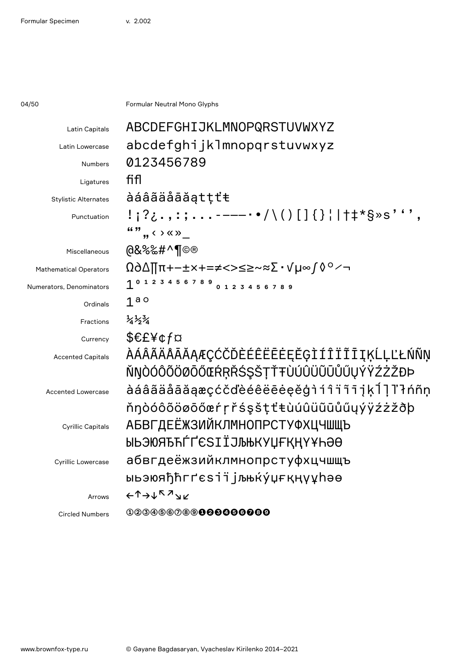04/50 **Formular Neutral Mono Glyphs** 

| ABCDEFGHIJKLMNOPQRSTUVWXYZ                    |
|-----------------------------------------------|
| abcdefghijklmnopqrstuvwxyz                    |
| 0123456789                                    |
| fifl                                          |
| àáâãäåāăątțťŧ                                 |
| !;?¿.,:;-----•/\()[]{}¦ †‡*§»s''',            |
| "",, $\leftrightarrow$ $\times$ $\rightarrow$ |
| @&%‰#^¶©®                                     |
| Ω∂∆∏π+−±×+=≠<>≤≥~≈∑∙√µ∞∫◊°∕¬                  |
| 1 0 1 2 3 4 5 6 7 8 9 0 1 2 3 4 5 6 7 8 9     |
| 1 <sup>a</sup>                                |
| $\frac{1}{4}$ $\frac{1}{2}$ $\frac{3}{4}$     |
| \$€£¥¢f¤                                      |
| ÀÁÂÃÄÅĀĂĂĄÆÇĆČĎÈÉÊËĒĖĘĚĢÌÍÎÏĨĪĮĶĹĻĽŁŃÑŅ       |
| ŇŊÒÓÔÕÖØŌŐŒŔŖŘŚŞŠŢŤŦÙÚÛÜŨŨŮŰŲÝŸŹŻŽĐÞ          |
| àáâãäåāăąæçćčďèéêëēėęěģìíîïïījķĺ]l'łńñṇ       |
| ňŋòóôõöøōőœŕŗřśşšṭťŧùúûüũūůűyýÿźżžðþ          |
| <b>АБВГДЕЁЖЗИЙКЛМНОПРСТУФХЦЧШЩЪ</b>           |
| ЫЬЭЮЯЂЋЃҐЄЅӀЇЈЉЊКУЏҒҚҢҮҰҺӘӨ                   |
| абвгдеёжзийклмнопрстуфхцчшщъ                  |
| ыьэюяђћгґєѕіїјљњќу́џғқңүұһәө                  |
| ←↑→↓下↗ <sub>→</sub> ∠                         |
| 00000000000000000                             |
|                                               |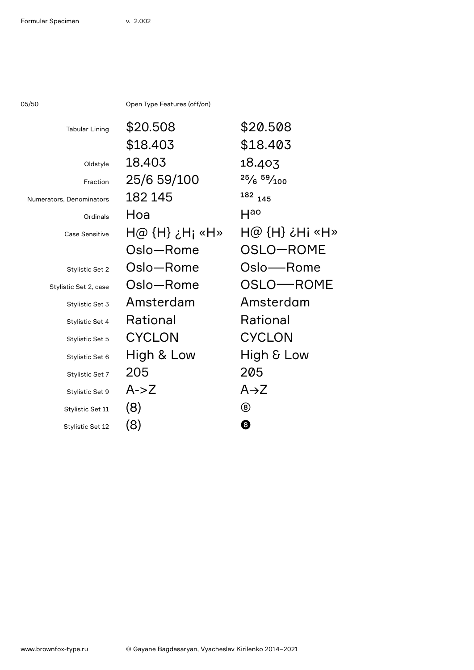05/50 Open Type Features (off/on)

| <b>Tabular Lining</b>    | \$20.508       | \$20.508                         |
|--------------------------|----------------|----------------------------------|
|                          | \$18.403       | \$18.403                         |
| Oldstyle                 | 18.403         | 18.403                           |
| Fraction                 | 25/6 59/100    | $25/6$ $59/100$                  |
| Numerators, Denominators | 182 145        | <sup>182</sup> 145               |
| Ordinals                 | Hoa            | Hao                              |
| <b>Case Sensitive</b>    | H@ {H} ¿H; «H» | $H@$ $(H)$ $\dot{\phi}$ $Hi$ «H» |
|                          | Oslo-Rome      | OSLO-ROME                        |
| Stylistic Set 2          | Oslo-Rome      | Oslo—Rome                        |
| Stylistic Set 2, case    | Oslo-Rome      | OSLO-ROME                        |
| Stylistic Set 3          | Amsterdam      | Amsterdam                        |
| Stylistic Set 4          | Rational       | Rational                         |
| Stylistic Set 5          | <b>CYCLON</b>  | <b>CYCLON</b>                    |
| Stylistic Set 6          | High & Low     | High & Low                       |
| Stylistic Set 7          | 205            | 205                              |
| Stylistic Set 9          | $A - Z$        | $A\rightarrow Z$                 |
| Stylistic Set 11         | (8)            | ⑧                                |
| Stylistic Set 12         | (8)            | 0                                |
|                          |                |                                  |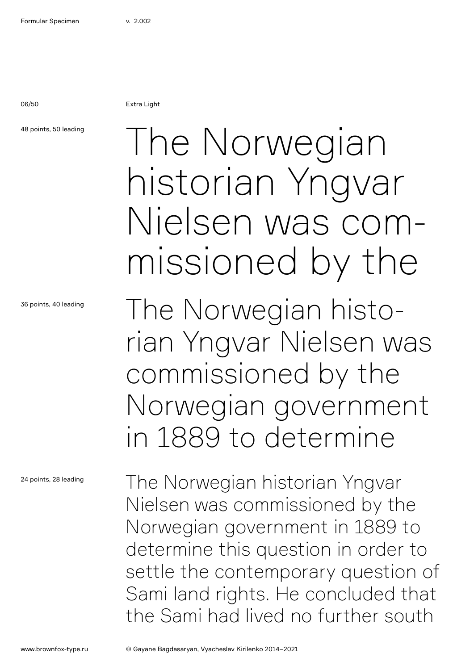06/50 Extra Light

### 48 points, 50 leading

36 points, 40 leading

24 points, 28 leading

## The Norwegian historian Yngvar Nielsen was commissioned by the

The Norwegian historian Yngvar Nielsen was commissioned by the Norwegian government in 1889 to determine

The Norwegian historian Yngvar Nielsen was commissioned by the Norwegian government in 1889 to determine this question in order to settle the contemporary question of Sami land rights. He concluded that the Sami had lived no further south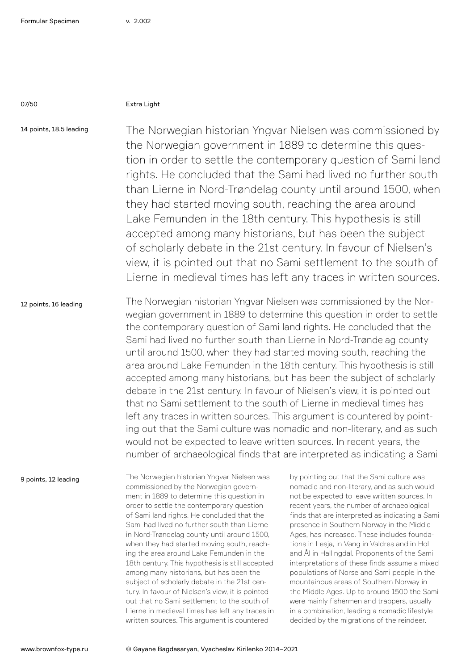### 07/50 Extra Light

14 points, 18.5 leading

The Norwegian historian Yngvar Nielsen was commissioned by the Norwegian government in 1889 to determine this question in order to settle the contemporary question of Sami land rights. He concluded that the Sami had lived no further south than Lierne in Nord-Trøndelag county until around 1500, when they had started moving south, reaching the area around Lake Femunden in the 18th century. This hypothesis is still accepted among many historians, but has been the subject of scholarly debate in the 21st century. In favour of Nielsen's view, it is pointed out that no Sami settlement to the south of Lierne in medieval times has left any traces in written sources.

12 points, 16 leading The Norwegian historian Yngvar Nielsen was commissioned by the Norwegian government in 1889 to determine this question in order to settle the contemporary question of Sami land rights. He concluded that the Sami had lived no further south than Lierne in Nord-Trøndelag county until around 1500, when they had started moving south, reaching the area around Lake Femunden in the 18th century. This hypothesis is still accepted among many historians, but has been the subject of scholarly debate in the 21st century. In favour of Nielsen's view, it is pointed out that no Sami settlement to the south of Lierne in medieval times has left any traces in written sources. This argument is countered by pointing out that the Sami culture was nomadic and non-literary, and as such would not be expected to leave written sources. In recent years, the number of archaeological finds that are interpreted as indicating a Sami

9 points, 12 leading

The Norwegian historian Yngvar Nielsen was commissioned by the Norwegian government in 1889 to determine this question in order to settle the contemporary question of Sami land rights. He concluded that the Sami had lived no further south than Lierne in Nord-Trøndelag county until around 1500, when they had started moving south, reaching the area around Lake Femunden in the 18th century. This hypothesis is still accepted among many historians, but has been the subject of scholarly debate in the 21st century. In favour of Nielsen's view, it is pointed out that no Sami settlement to the south of Lierne in medieval times has left any traces in written sources. This argument is countered

by pointing out that the Sami culture was nomadic and non-literary, and as such would not be expected to leave written sources. In recent years, the number of archaeological finds that are interpreted as indicating a Sami presence in Southern Norway in the Middle Ages, has increased. These includes foundations in Lesja, in Vang in Valdres and in Hol and Ål in Hallingdal. Proponents of the Sami interpretations of these finds assume a mixed populations of Norse and Sami people in the mountainous areas of Southern Norway in the Middle Ages. Up to around 1500 the Sami were mainly fishermen and trappers, usually in a combination, leading a nomadic lifestyle decided by the migrations of the reindeer.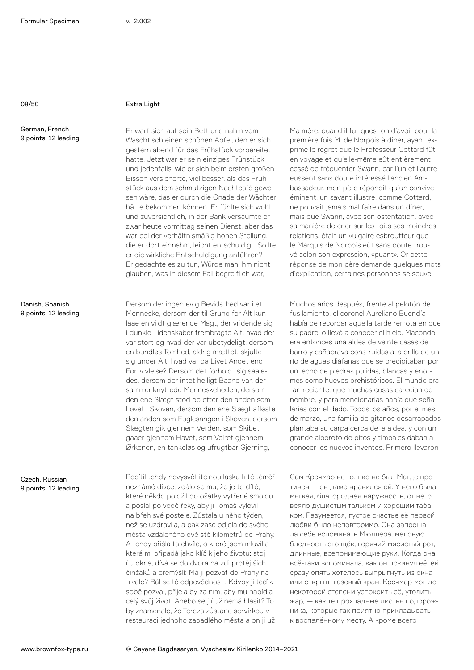### 08/50 Extra Light

German, French 9 points, 12 leading

Danish, Spanish 9 points, 12 leading

Czech, Russian 9 points, 12 leading

Er warf sich auf sein Bett und nahm vom Waschtisch einen schönen Apfel, den er sich gestern abend für das Frühstück vorbereitet hatte. Jetzt war er sein einziges Frühstück und jedenfalls, wie er sich beim ersten großen Bissen versicherte, viel besser, als das Frühstück aus dem schmutzigen Nachtcafé gewesen wäre, das er durch die Gnade der Wächter hätte bekommen können. Er fühlte sich wohl und zuversichtlich, in der Bank versäumte er zwar heute vormittag seinen Dienst, aber das war bei der verhältnismäßig hohen Stellung, die er dort einnahm, leicht entschuldigt. Sollte er die wirkliche Entschuldigung anführen? Er gedachte es zu tun, Würde man ihm nicht glauben, was in diesem Fall begreiflich war,

Dersom der ingen evig Bevidsthed var i et Menneske, dersom der til Grund for Alt kun laae en vildt gjærende Magt, der vridende sig i dunkle Lidenskaber frembragte Alt, hvad der var stort og hvad der var ubetydeligt, dersom en bundløs Tomhed, aldrig mættet, skjulte sig under Alt, hvad var da Livet Andet end Fortvivlelse? Dersom det forholdt sig saaledes, dersom der intet helligt Baand var, der sammenknyttede Menneskeheden, dersom den ene Slægt stod op efter den anden som Løvet i Skoven, dersom den ene Slægt afløste den anden som Fuglesangen i Skoven, dersom Slægten gik gjennem Verden, som Skibet gaaer gjennem Havet, som Veiret gjennem Ørkenen, en tankeløs og ufrugtbar Gjerning,

Pocítil tehdy nevysvětlitelnou lásku k té téměř neznámé dívce; zdálo se mu, že je to dítě, které někdo položil do ošatky vytřené smolou a poslal po vodě řeky, aby ji Tomáš vylovil na břeh své postele. Zůstala u něho týden, než se uzdravila, a pak zase odjela do svého města vzdáleného dvě stě kilometrů od Prahy. A tehdy přišla ta chvíle, o které jsem mluvil a která mi připadá jako klíč k jeho životu: stoj í u okna, dívá se do dvora na zdi protěj ších činžáků a přemýšlí: Má ji pozvat do Prahy natrvalo? Bál se té odpovědnosti. Kdyby ji teď k sobě pozval, přijela by za ním, aby mu nabídla celý svůj život. Anebo se j í už nemá hlásit? To by znamenalo, že Tereza zůstane servírkou v restauraci jednoho zapadlého města a on ji už

Ma mère, quand il fut question d'avoir pour la première fois M. de Norpois à dîner, ayant exprimé le regret que le Professeur Cottard fût en voyage et qu'elle-même eût entièrement cessé de fréquenter Swann, car l'un et l'autre eussent sans doute intéressé l'ancien Ambassadeur, mon père répondit qu'un convive éminent, un savant illustre, comme Cottard, ne pouvait jamais mal faire dans un dîner, mais que Swann, avec son ostentation, avec sa manière de crier sur les toits ses moindres relations, était un vulgaire esbrouffeur que le Marquis de Norpois eût sans doute trouvé selon son expression, «puant». Or cette réponse de mon père demande quelques mots d'explication, certaines personnes se souve-

Muchos años después, frente al pelotón de fusilamiento, el coronel Aureliano Buendía había de recordar aquella tarde remota en que su padre lo llevó a conocer el hielo. Macondo era entonces una aldea de veinte casas de barro y cañabrava construidas a la orilla de un río de aguas diáfanas que se precipitaban por un lecho de piedras pulidas, blancas y enormes como huevos prehistóricos. El mundo era tan reciente, que muchas cosas carecían de nombre, y para mencionarlas había que señalarías con el dedo. Todos los años, por el mes de marzo, una familia de gitanos desarrapados plantaba su carpa cerca de la aldea, y con un grande alboroto de pitos y timbales daban a conocer los nuevos inventos. Primero llevaron

Сам Кречмар не только не был Магде противен — он даже нравился ей. У него была мягкая, благородная наружность, от него веяло душистым тальком и хорошим табаком. Разумеется, густое счастье её первой любви было неповторимо. Она запрещала себе вспоминать Мюллера, меловую бледность его щёк, горячий мясистый рот, длинные, всепонимающие руки. Когда она всё-таки вспоминала, как он покинул её, ей сразу опять хотелось выпрыгнуть из окна или открыть газовый кран. Кречмар мог до некоторой степени успокоить её, утолить жар, — как те прохладные листья подорожника, которые так приятно прикладывать к воспалённому месту. А кроме всего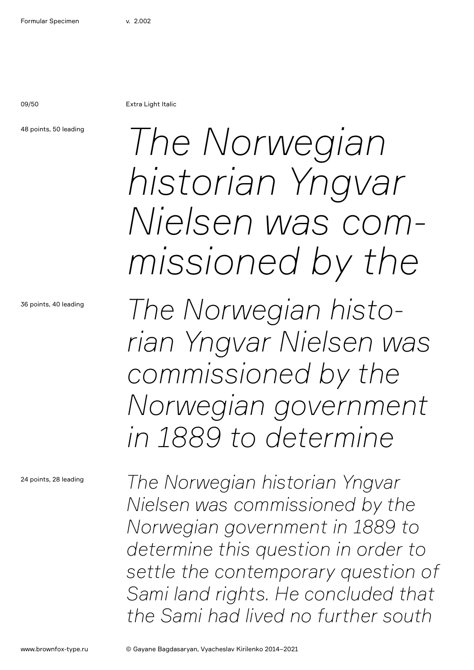09/50 Extra Light Italic

48 points, 50 leading

36 points, 40 leading

24 points, 28 leading

*The Norwegian historian Yngvar Nielsen was commissioned by the*

*The Norwegian historian Yngvar Nielsen was commissioned by the Norwegian government in 1889 to determine* 

*The Norwegian historian Yngvar Nielsen was commissioned by the Norwegian government in 1889 to determine this question in order to settle the contemporary question of Sami land rights. He concluded that the Sami had lived no further south*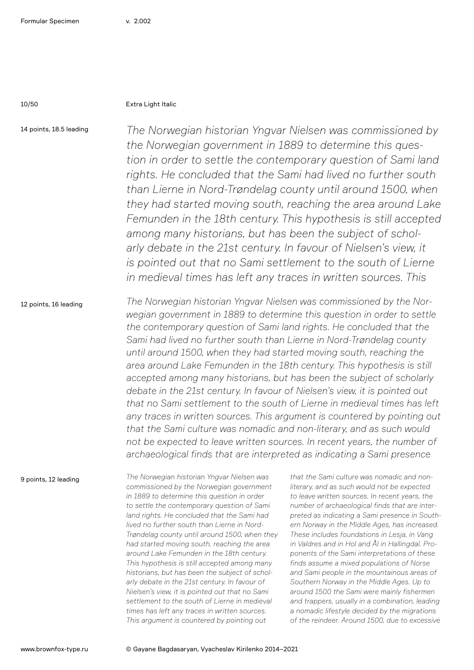### 10/50 Extra Light Italic

14 points, 18.5 leading

*The Norwegian historian Yngvar Nielsen was commissioned by the Norwegian government in 1889 to determine this question in order to settle the contemporary question of Sami land rights. He concluded that the Sami had lived no further south than Lierne in Nord-Trøndelag county until around 1500, when they had started moving south, reaching the area around Lake Femunden in the 18th century. This hypothesis is still accepted among many historians, but has been the subject of schol*arly debate in the 21st century. In favour of Nielsen's view, it *is pointed out that no Sami settlement to the south of Lierne in medieval times has left any traces in written sources. This* 

12 points, 16 leading

*The Norwegian historian Yngvar Nielsen was commissioned by the Norwegian government in 1889 to determine this question in order to settle the contemporary question of Sami land rights. He concluded that the Sami had lived no further south than Lierne in Nord-Trøndelag county until around 1500, when they had started moving south, reaching the area around Lake Femunden in the 18th century. This hypothesis is still accepted among many historians, but has been the subject of scholarly debate in the 21st century. In favour of Nielsen's view, it is pointed out that no Sami settlement to the south of Lierne in medieval times has left*  any traces in written sources. This argument is countered by pointing out *that the Sami culture was nomadic and non-literary, and as such would not be expected to leave written sources. In recent years, the number of archaeological finds that are interpreted as indicating a Sami presence* 

9 points, 12 leading

*The Norwegian historian Yngvar Nielsen was commissioned by the Norwegian government in 1889 to determine this question in order to settle the contemporary question of Sami land rights. He concluded that the Sami had lived no further south than Lierne in Nord-Trøndelag county until around 1500, when they had started moving south, reaching the area around Lake Femunden in the 18th century. This hypothesis is still accepted among many historians, but has been the subject of scholarly debate in the 21st century. In favour of Nielsen's view, it is pointed out that no Sami settlement to the south of Lierne in medieval times has left any traces in written sources. This argument is countered by pointing out* 

*that the Sami culture was nomadic and nonliterary, and as such would not be expected to leave written sources. In recent years, the number of archaeological finds that are interpreted as indicating a Sami presence in Southern Norway in the Middle Ages, has increased. These includes foundations in Lesja, in Vang in Valdres and in Hol and Ål in Hallingdal. Proponents of the Sami interpretations of these finds assume a mixed populations of Norse and Sami people in the mountainous areas of Southern Norway in the Middle Ages. Up to around 1500 the Sami were mainly fishermen and trappers, usually in a combination, leading a nomadic lifestyle decided by the migrations of the reindeer. Around 1500, due to excessive*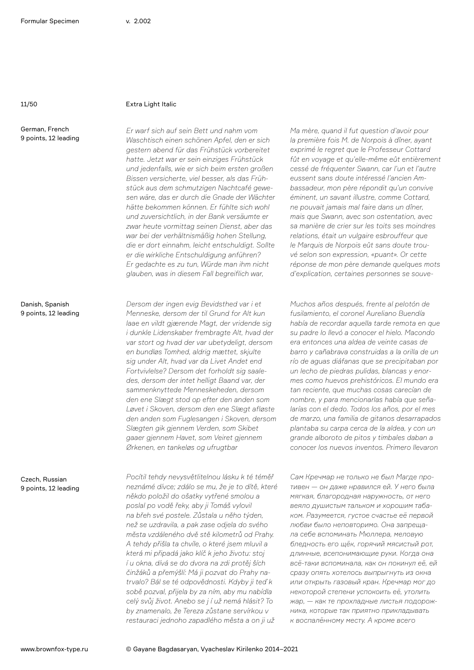German, French 9 points, 12 leading

## 11/50 Extra Light Italic

*Er warf sich auf sein Bett und nahm vom Waschtisch einen schönen Apfel, den er sich gestern abend für das Frühstück vorbereitet hatte. Jetzt war er sein einziges Frühstück und jedenfalls, wie er sich beim ersten großen Bissen versicherte, viel besser, als das Frühstück aus dem schmutzigen Nachtcafé gewesen wäre, das er durch die Gnade der Wächter hätte bekommen können. Er fühlte sich wohl und zuversichtlich, in der Bank versäumte er zwar heute vormittag seinen Dienst, aber das war bei der verhältnismäßig hohen Stellung, die er dort einnahm, leicht entschuldigt. Sollte er die wirkliche Entschuldigung anführen? Er gedachte es zu tun, Würde man ihm nicht glauben, was in diesem Fall begreiflich war,*

*Dersom der ingen evig Bevidsthed var i et Menneske, dersom der til Grund for Alt kun laae en vildt gjærende Magt, der vridende sig i dunkle Lidenskaber frembragte Alt, hvad der var stort og hvad der var ubetydeligt, dersom en bundløs Tomhed, aldrig mættet, skjulte sig under Alt, hvad var da Livet Andet end Fortvivlelse? Dersom det forholdt sig saaledes, dersom der intet helligt Baand var, der sammenknyttede Menneskeheden, dersom den ene Slægt stod op efter den anden som Løvet i Skoven, dersom den ene Slægt afløste den anden som Fuglesangen i Skoven, dersom Slægten gik gjennem Verden, som Skibet gaaer gjennem Havet, som Veiret gjennem Ørkenen, en tankeløs og ufrugtbar*

*Pocítil tehdy nevysvětlitelnou lásku k té téměř neznámé dívce; zdálo se mu, že je to dítě, které někdo položil do ošatky vytřené smolou a poslal po vodě řeky, aby ji Tomáš vylovil na břeh své postele. Zůstala u něho týden, než se uzdravila, a pak zase odjela do svého města vzdáleného dvě stě kilometrů od Prahy. A tehdy přišla ta chvíle, o které jsem mluvil a která mi připadá jako klíč k jeho životu: stoj í u okna, dívá se do dvora na zdi protěj ších činžáků a přemýšlí: Má ji pozvat do Prahy natrvalo? Bál se té odpovědnosti. Kdyby ji teď k sobě pozval, přijela by za ním, aby mu nabídla celý svůj život. Anebo se j í už nemá hlásit? To by znamenalo, že Tereza zůstane servírkou v restauraci jednoho zapadlého města a on ji už*

*Ma mère, quand il fut question d'avoir pour la première fois M. de Norpois à dîner, ayant exprimé le regret que le Professeur Cottard fût en voyage et qu'elle-même eût entièrement cessé de fréquenter Swann, car l'un et l'autre eussent sans doute intéressé l'ancien Ambassadeur, mon père répondit qu'un convive éminent, un savant illustre, comme Cottard, ne pouvait jamais mal faire dans un dîner, mais que Swann, avec son ostentation, avec sa manière de crier sur les toits ses moindres relations, était un vulgaire esbrouffeur que le Marquis de Norpois eût sans doute trouvé selon son expression, «puant». Or cette réponse de mon père demande quelques mots d'explication, certaines personnes se souve-*

*Muchos años después, frente al pelotón de fusilamiento, el coronel Aureliano Buendía había de recordar aquella tarde remota en que su padre lo llevó a conocer el hielo. Macondo era entonces una aldea de veinte casas de barro y cañabrava construidas a la orilla de un río de aguas diáfanas que se precipitaban por un lecho de piedras pulidas, blancas y enormes como huevos prehistóricos. El mundo era tan reciente, que muchas cosas carecían de nombre, y para mencionarlas había que señalarías con el dedo. Todos los años, por el mes de marzo, una familia de gitanos desarrapados plantaba su carpa cerca de la aldea, y con un grande alboroto de pitos y timbales daban a conocer los nuevos inventos. Primero llevaron*

*Сам Кречмар не только не был Магде противен — он даже нравился ей. У него была мягкая, благородная наружность, от него веяло душистым тальком и хорошим табаком. Разумеется, густое счастье её первой любви было неповторимо. Она запрещала себе вспоминать Мюллера, меловую бледность его щёк, горячий мясистый рот, длинные, всепонимающие руки. Когда она всё-таки вспоминала, как он покинул её, ей сразу опять хотелось выпрыгнуть из окна или открыть газовый кран. Кречмар мог до некоторой степени успокоить её, утолить жар, — как те прохладные листья подорожника, которые так приятно прикладывать к воспалённому месту. А кроме всего* 

Danish, Spanish 9 points, 12 leading

Czech, Russian 9 points, 12 leading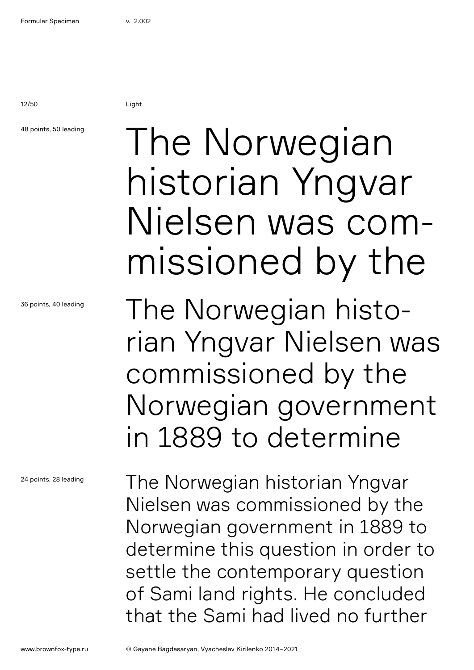12/50 Light

## 48 points, 50 leading

36 points, 40 leading

24 points, 28 leading

## The Norwegian historian Yngvar Nielsen was commissioned by the

The Norwegian historian Yngvar Nielsen was commissioned by the Norwegian government in 1889 to determine

The Norwegian historian Yngvar Nielsen was commissioned by the Norwegian government in 1889 to determine this question in order to settle the contemporary question of Sami land rights. He concluded that the Sami had lived no further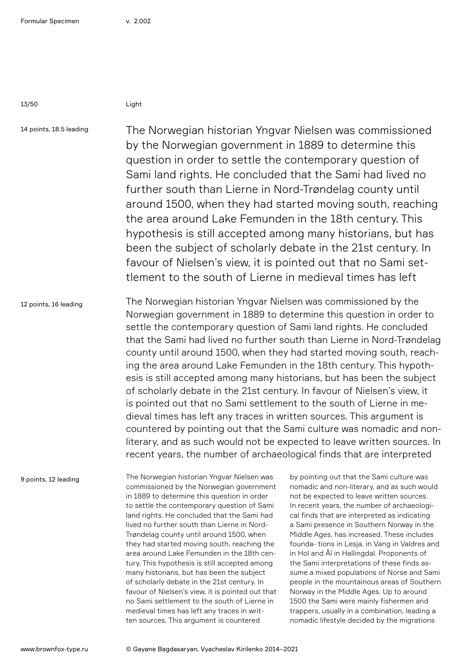13/50 Light

14 points, 18.5 leading

The Norwegian historian Yngvar Nielsen was commissioned by the Norwegian government in 1889 to determine this question in order to settle the contemporary question of Sami land rights. He concluded that the Sami had lived no further south than Lierne in Nord-Trøndelag county until around 1500, when they had started moving south, reaching the area around Lake Femunden in the 18th century. This hypothesis is still accepted among many historians, but has been the subject of scholarly debate in the 21st century. In favour of Nielsen's view, it is pointed out that no Sami settlement to the south of Lierne in medieval times has left

12 points, 16 leading The Norwegian historian Yngvar Nielsen was commissioned by the Norwegian government in 1889 to determine this question in order to settle the contemporary question of Sami land rights. He concluded that the Sami had lived no further south than Lierne in Nord-Trøndelag county until around 1500, when they had started moving south, reaching the area around Lake Femunden in the 18th century. This hypothesis is still accepted among many historians, but has been the subject of scholarly debate in the 21st century. In favour of Nielsen's view, it is pointed out that no Sami settlement to the south of Lierne in medieval times has left any traces in written sources. This argument is countered by pointing out that the Sami culture was nomadic and nonliterary, and as such would not be expected to leave written sources. In recent years, the number of archaeological finds that are interpreted

9 points, 12 leading

The Norwegian historian Yngvar Nielsen was commissioned by the Norwegian government in 1889 to determine this question in order to settle the contemporary question of Sami land rights. He concluded that the Sami had lived no further south than Lierne in Nord-Trøndelag county until around 1500, when they had started moving south, reaching the area around Lake Femunden in the 18th century. This hypothesis is still accepted among many historians, but has been the subject of scholarly debate in the 21st century. In favour of Nielsen's view, it is pointed out that no Sami settlement to the south of Lierne in medieval times has left any traces in written sources. This argument is countered

by pointing out that the Sami culture was nomadic and non-literary, and as such would not be expected to leave written sources. In recent years, the number of archaeological finds that are interpreted as indicating a Sami presence in Southern Norway in the Middle Ages, has increased. These includes founda- tions in Lesja, in Vang in Valdres and in Hol and Ål in Hallingdal. Proponents of the Sami interpretations of these finds assume a mixed populations of Norse and Sami people in the mountainous areas of Southern Norway in the Middle Ages. Up to around 1500 the Sami were mainly fishermen and trappers, usually in a combination, leading a nomadic lifestyle decided by the migrations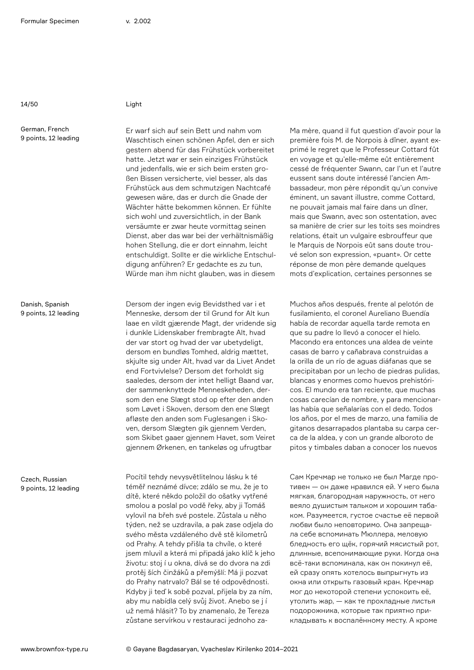14/50 Light

German, French 9 points, 12 leading

Danish, Spanish 9 points, 12 leading

Czech, Russian 9 points, 12 leading

Er warf sich auf sein Bett und nahm vom Waschtisch einen schönen Apfel, den er sich gestern abend für das Frühstück vorbereitet hatte. Jetzt war er sein einziges Frühstück und jedenfalls, wie er sich beim ersten großen Bissen versicherte, viel besser, als das Frühstück aus dem schmutzigen Nachtcafé gewesen wäre, das er durch die Gnade der Wächter hätte bekommen können. Er fühlte sich wohl und zuversichtlich, in der Bank versäumte er zwar heute vormittag seinen Dienst, aber das war bei der verhältnismäßig hohen Stellung, die er dort einnahm, leicht entschuldigt. Sollte er die wirkliche Entschuldigung anführen? Er gedachte es zu tun, Würde man ihm nicht glauben, was in diesem

Dersom der ingen evig Bevidsthed var i et Menneske, dersom der til Grund for Alt kun laae en vildt gjærende Magt, der vridende sig i dunkle Lidenskaber frembragte Alt, hvad der var stort og hvad der var ubetydeligt, dersom en bundløs Tomhed, aldrig mættet, skjulte sig under Alt, hvad var da Livet Andet end Fortvivlelse? Dersom det forholdt sig saaledes, dersom der intet helligt Baand var, der sammenknyttede Menneskeheden, dersom den ene Slægt stod op efter den anden som Løvet i Skoven, dersom den ene Slægt afløste den anden som Fuglesangen i Skoven, dersom Slægten gik gjennem Verden, som Skibet gaaer gjennem Havet, som Veiret gjennem Ørkenen, en tankeløs og ufrugtbar

Pocítil tehdy nevysvětlitelnou lásku k té téměř neznámé dívce; zdálo se mu, že je to dítě, které někdo položil do ošatky vytřené smolou a poslal po vodě řeky, aby ji Tomáš vylovil na břeh své postele. Zůstala u něho týden, než se uzdravila, a pak zase odjela do svého města vzdáleného dvě stě kilometrů od Prahy. A tehdy přišla ta chvíle, o které jsem mluvil a která mi připadá jako klíč k jeho životu: stoj í u okna, dívá se do dvora na zdi protěj ších činžáků a přemýšlí: Má ji pozvat do Prahy natrvalo? Bál se té odpovědnosti. Kdyby ji teď k sobě pozval, přijela by za ním, aby mu nabídla celý svůj život. Anebo se j í už nemá hlásit? To by znamenalo, že Tereza zůstane servírkou v restauraci jednoho zaMa mère, quand il fut question d'avoir pour la première fois M. de Norpois à dîner, ayant exprimé le regret que le Professeur Cottard fût en voyage et qu'elle-même eût entièrement cessé de fréquenter Swann, car l'un et l'autre eussent sans doute intéressé l'ancien Ambassadeur, mon père répondit qu'un convive éminent, un savant illustre, comme Cottard, ne pouvait jamais mal faire dans un dîner, mais que Swann, avec son ostentation, avec sa manière de crier sur les toits ses moindres relations, était un vulgaire esbrouffeur que le Marquis de Norpois eût sans doute trouvé selon son expression, «puant». Or cette réponse de mon père demande quelques mots d'explication, certaines personnes se

Muchos años después, frente al pelotón de fusilamiento, el coronel Aureliano Buendía había de recordar aquella tarde remota en que su padre lo llevó a conocer el hielo. Macondo era entonces una aldea de veinte casas de barro y cañabrava construidas a la orilla de un río de aguas diáfanas que se precipitaban por un lecho de piedras pulidas, blancas y enormes como huevos prehistóricos. El mundo era tan reciente, que muchas cosas carecían de nombre, y para mencionarlas había que señalarías con el dedo. Todos los años, por el mes de marzo, una familia de gitanos desarrapados plantaba su carpa cerca de la aldea, y con un grande alboroto de pitos y timbales daban a conocer los nuevos

Сам Кречмар не только не был Магде противен — он даже нравился ей. У него была мягкая, благородная наружность, от него веяло душистым тальком и хорошим табаком. Разумеется, густое счастье её первой любви было неповторимо. Она запрещала себе вспоминать Мюллера, меловую бледность его щёк, горячий мясистый рот, длинные, всепонимающие руки. Когда она всё-таки вспоминала, как он покинул её, ей сразу опять хотелось выпрыгнуть из окна или открыть газовый кран. Кречмар мог до некоторой степени успокоить её, утолить жар, — как те прохладные листья подорожника, которые так приятно прикладывать к воспалённому месту. А кроме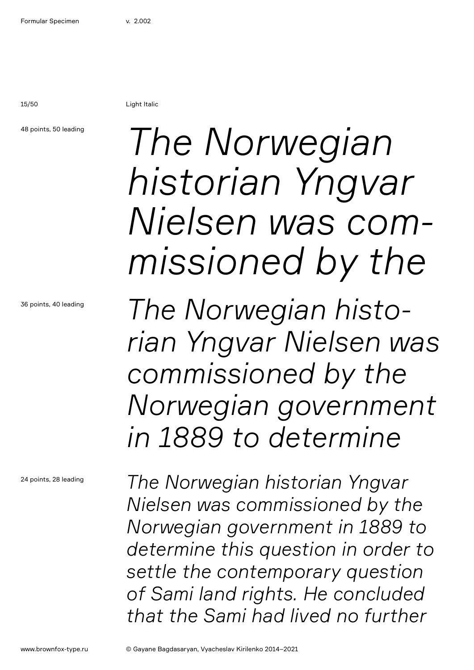15/50 Light Italic

### 48 points, 50 leading

36 points, 40 leading

24 points, 28 leading

# *The Norwegian historian Yngvar Nielsen was commissioned by the*

*The Norwegian historian Yngvar Nielsen was commissioned by the Norwegian government in 1889 to determine* 

*The Norwegian historian Yngvar Nielsen was commissioned by the Norwegian government in 1889 to determine this question in order to settle the contemporary question of Sami land rights. He concluded that the Sami had lived no further*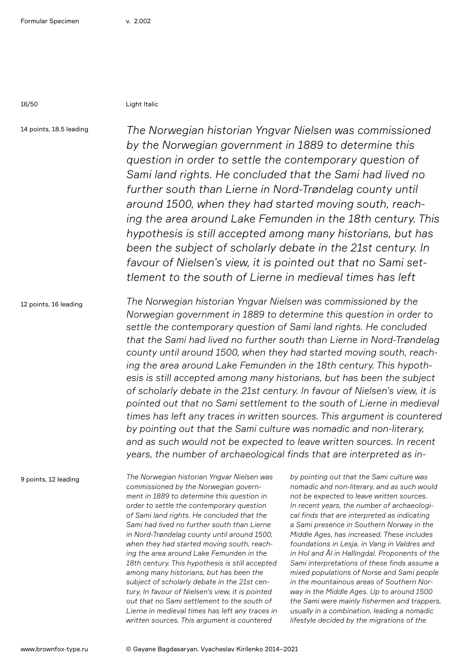16/50 Light Italic

14 points, 18.5 leading

*The Norwegian historian Yngvar Nielsen was commissioned by the Norwegian government in 1889 to determine this question in order to settle the contemporary question of Sami land rights. He concluded that the Sami had lived no further south than Lierne in Nord-Trøndelag county until around 1500, when they had started moving south, reaching the area around Lake Femunden in the 18th century. This hypothesis is still accepted among many historians, but has been the subject of scholarly debate in the 21st century. In favour of Nielsen's view, it is pointed out that no Sami settlement to the south of Lierne in medieval times has left* 

12 points, 16 leading

*The Norwegian historian Yngvar Nielsen was commissioned by the Norwegian government in 1889 to determine this question in order to settle the contemporary question of Sami land rights. He concluded that the Sami had lived no further south than Lierne in Nord-Trøndelag county until around 1500, when they had started moving south, reaching the area around Lake Femunden in the 18th century. This hypothesis is still accepted among many historians, but has been the subject of scholarly debate in the 21st century. In favour of Nielsen's view, it is pointed out that no Sami settlement to the south of Lierne in medieval times has left any traces in written sources. This argument is countered by pointing out that the Sami culture was nomadic and non-literary, and as such would not be expected to leave written sources. In recent years, the number of archaeological finds that are interpreted as in-*

9 points, 12 leading

*The Norwegian historian Yngvar Nielsen was commissioned by the Norwegian government in 1889 to determine this question in order to settle the contemporary question of Sami land rights. He concluded that the Sami had lived no further south than Lierne in Nord-Trøndelag county until around 1500, when they had started moving south, reaching the area around Lake Femunden in the 18th century. This hypothesis is still accepted among many historians, but has been the subject of scholarly debate in the 21st century. In favour of Nielsen's view, it is pointed out that no Sami settlement to the south of Lierne in medieval times has left any traces in written sources. This argument is countered* 

*by pointing out that the Sami culture was nomadic and non-literary, and as such would not be expected to leave written sources. In recent years, the number of archaeological finds that are interpreted as indicating a Sami presence in Southern Norway in the Middle Ages, has increased. These includes foundations in Lesja, in Vang in Valdres and in Hol and Ål in Hallingdal. Proponents of the Sami interpretations of these finds assume a mixed populations of Norse and Sami people in the mountainous areas of Southern Norway in the Middle Ages. Up to around 1500 the Sami were mainly fishermen and trappers, usually in a combination, leading a nomadic lifestyle decided by the migrations of the*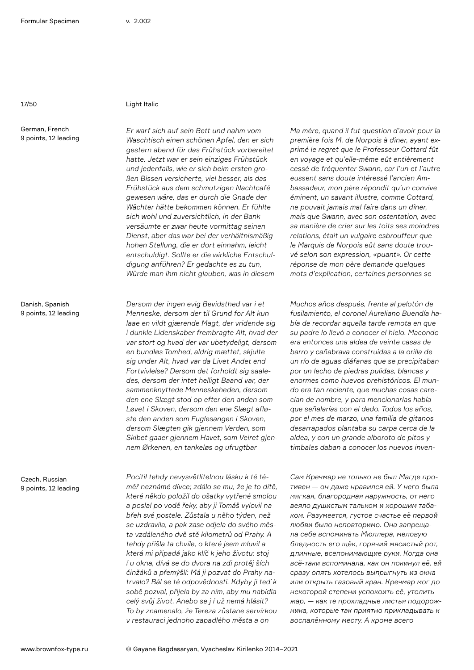German, French 9 points, 12 leading

### 17/50 Light Italic

*Er warf sich auf sein Bett und nahm vom Waschtisch einen schönen Apfel, den er sich gestern abend für das Frühstück vorbereitet hatte. Jetzt war er sein einziges Frühstück und jedenfalls, wie er sich beim ersten großen Bissen versicherte, viel besser, als das Frühstück aus dem schmutzigen Nachtcafé gewesen wäre, das er durch die Gnade der Wächter hätte bekommen können. Er fühlte sich wohl und zuversichtlich, in der Bank versäumte er zwar heute vormittag seinen Dienst, aber das war bei der verhältnismäßig hohen Stellung, die er dort einnahm, leicht entschuldigt. Sollte er die wirkliche Entschuldigung anführen? Er gedachte es zu tun, Würde man ihm nicht glauben, was in diesem* 

*Dersom der ingen evig Bevidsthed var i et Menneske, dersom der til Grund for Alt kun laae en vildt gjærende Magt, der vridende sig i dunkle Lidenskaber frembragte Alt, hvad der var stort og hvad der var ubetydeligt, dersom en bundløs Tomhed, aldrig mættet, skjulte sig under Alt, hvad var da Livet Andet end Fortvivlelse? Dersom det forholdt sig saaledes, dersom der intet helligt Baand var, der sammenknyttede Menneskeheden, dersom den ene Slægt stod op efter den anden som Løvet i Skoven, dersom den ene Slægt afløste den anden som Fuglesangen i Skoven, dersom Slægten gik gjennem Verden, som Skibet gaaer gjennem Havet, som Veiret gjennem Ørkenen, en tankeløs og ufrugtbar*

*Pocítil tehdy nevysvětlitelnou lásku k té téměř neznámé dívce; zdálo se mu, že je to dítě, které někdo položil do ošatky vytřené smolou a poslal po vodě řeky, aby ji Tomáš vylovil na břeh své postele. Zůstala u něho týden, než se uzdravila, a pak zase odjela do svého města vzdáleného dvě stě kilometrů od Prahy. A tehdy přišla ta chvíle, o které jsem mluvil a která mi připadá jako klíč k jeho životu: stoj í u okna, dívá se do dvora na zdi protěj ších činžáků a přemýšlí: Má ji pozvat do Prahy natrvalo? Bál se té odpovědnosti. Kdyby ji teď k sobě pozval, přijela by za ním, aby mu nabídla celý svůj život. Anebo se j í už nemá hlásit? To by znamenalo, že Tereza zůstane servírkou v restauraci jednoho zapadlého města a on* 

*Ma mère, quand il fut question d'avoir pour la première fois M. de Norpois à dîner, ayant exprimé le regret que le Professeur Cottard fût en voyage et qu'elle-même eût entièrement cessé de fréquenter Swann, car l'un et l'autre eussent sans doute intéressé l'ancien Ambassadeur, mon père répondit qu'un convive éminent, un savant illustre, comme Cottard, ne pouvait jamais mal faire dans un dîner, mais que Swann, avec son ostentation, avec sa manière de crier sur les toits ses moindres relations, était un vulgaire esbrouffeur que le Marquis de Norpois eût sans doute trouvé selon son expression, «puant». Or cette réponse de mon père demande quelques mots d'explication, certaines personnes se* 

*Muchos años después, frente al pelotón de fusilamiento, el coronel Aureliano Buendía había de recordar aquella tarde remota en que su padre lo llevó a conocer el hielo. Macondo era entonces una aldea de veinte casas de barro y cañabrava construidas a la orilla de un río de aguas diáfanas que se precipitaban por un lecho de piedras pulidas, blancas y enormes como huevos prehistóricos. El mundo era tan reciente, que muchas cosas carecían de nombre, y para mencionarlas había que señalarías con el dedo. Todos los años, por el mes de marzo, una familia de gitanos desarrapados plantaba su carpa cerca de la aldea, y con un grande alboroto de pitos y timbales daban a conocer los nuevos inven-*

*Сам Кречмар не только не был Магде противен — он даже нравился ей. У него была мягкая, благородная наружность, от него веяло душистым тальком и хорошим табаком. Разумеется, густое счастье её первой любви было неповторимо. Она запрещала себе вспоминать Мюллера, меловую бледность его щёк, горячий мясистый рот, длинные, всепонимающие руки. Когда она всё-таки вспоминала, как он покинул её, ей сразу опять хотелось выпрыгнуть из окна или открыть газовый кран. Кречмар мог до некоторой степени успокоить её, утолить жар, — как те прохладные листья подорожника, которые так приятно прикладывать к воспалённому месту. А кроме всего*

Danish, Spanish 9 points, 12 leading

Czech, Russian 9 points, 12 leading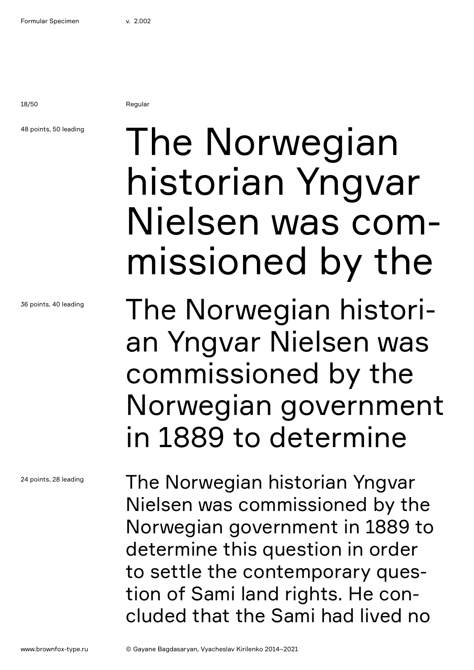18/50 Regular

## 48 points, 50 leading

36 points, 40 leading

24 points, 28 leading

# The Norwegian historian Yngvar Nielsen was commissioned by the

The Norwegian historian Yngvar Nielsen was commissioned by the Norwegian government in 1889 to determine

The Norwegian historian Yngvar Nielsen was commissioned by the Norwegian government in 1889 to determine this question in order to settle the contemporary question of Sami land rights. He concluded that the Sami had lived no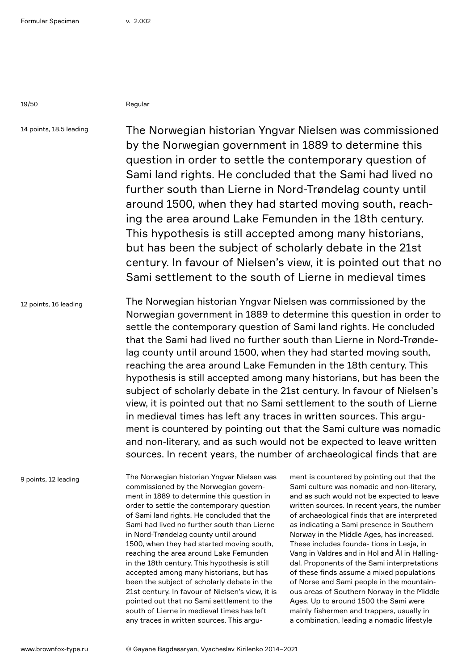19/50 Regular

14 points, 18.5 leading

The Norwegian historian Yngvar Nielsen was commissioned by the Norwegian government in 1889 to determine this question in order to settle the contemporary question of Sami land rights. He concluded that the Sami had lived no further south than Lierne in Nord-Trøndelag county until around 1500, when they had started moving south, reaching the area around Lake Femunden in the 18th century. This hypothesis is still accepted among many historians, but has been the subject of scholarly debate in the 21st century. In favour of Nielsen's view, it is pointed out that no Sami settlement to the south of Lierne in medieval times

12 points, 16 leading The Norwegian historian Yngvar Nielsen was commissioned by the Norwegian government in 1889 to determine this question in order to settle the contemporary question of Sami land rights. He concluded that the Sami had lived no further south than Lierne in Nord-Trøndelag county until around 1500, when they had started moving south, reaching the area around Lake Femunden in the 18th century. This hypothesis is still accepted among many historians, but has been the subject of scholarly debate in the 21st century. In favour of Nielsen's view, it is pointed out that no Sami settlement to the south of Lierne in medieval times has left any traces in written sources. This argument is countered by pointing out that the Sami culture was nomadic and non-literary, and as such would not be expected to leave written sources. In recent years, the number of archaeological finds that are

9 points, 12 leading

The Norwegian historian Yngvar Nielsen was commissioned by the Norwegian government in 1889 to determine this question in order to settle the contemporary question of Sami land rights. He concluded that the Sami had lived no further south than Lierne in Nord-Trøndelag county until around 1500, when they had started moving south, reaching the area around Lake Femunden in the 18th century. This hypothesis is still accepted among many historians, but has been the subject of scholarly debate in the 21st century. In favour of Nielsen's view, it is pointed out that no Sami settlement to the south of Lierne in medieval times has left any traces in written sources. This argu-

ment is countered by pointing out that the Sami culture was nomadic and non-literary, and as such would not be expected to leave written sources. In recent years, the number of archaeological finds that are interpreted as indicating a Sami presence in Southern Norway in the Middle Ages, has increased. These includes founda- tions in Lesja, in Vang in Valdres and in Hol and Ål in Hallingdal. Proponents of the Sami interpretations of these finds assume a mixed populations of Norse and Sami people in the mountainous areas of Southern Norway in the Middle Ages. Up to around 1500 the Sami were mainly fishermen and trappers, usually in a combination, leading a nomadic lifestyle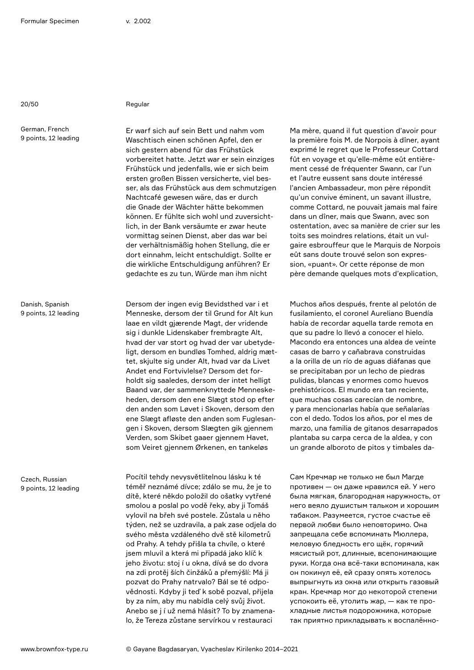20/50 Regular

German, French 9 points, 12 leading

Danish, Spanish 9 points, 12 leading

Czech, Russian 9 points, 12 leading

Er warf sich auf sein Bett und nahm vom Waschtisch einen schönen Apfel, den er sich gestern abend für das Frühstück vorbereitet hatte. Jetzt war er sein einziges Frühstück und jedenfalls, wie er sich beim ersten großen Bissen versicherte, viel besser, als das Frühstück aus dem schmutzigen Nachtcafé gewesen wäre, das er durch die Gnade der Wächter hätte bekommen können. Er fühlte sich wohl und zuversichtlich, in der Bank versäumte er zwar heute vormittag seinen Dienst, aber das war bei der verhältnismäßig hohen Stellung, die er dort einnahm, leicht entschuldigt. Sollte er die wirkliche Entschuldigung anführen? Er gedachte es zu tun, Würde man ihm nicht

Dersom der ingen evig Bevidsthed var i et Menneske, dersom der til Grund for Alt kun laae en vildt gjærende Magt, der vridende sig i dunkle Lidenskaber frembragte Alt, hvad der var stort og hvad der var ubetydeligt, dersom en bundløs Tomhed, aldrig mættet, skjulte sig under Alt, hvad var da Livet Andet end Fortvivlelse? Dersom det forholdt sig saaledes, dersom der intet helligt Baand var, der sammenknyttede Menneskeheden, dersom den ene Slægt stod op efter den anden som Løvet i Skoven, dersom den ene Slægt afløste den anden som Fuglesangen i Skoven, dersom Slægten gik gjennem Verden, som Skibet gaaer gjennem Havet, som Veiret gjennem Ørkenen, en tankeløs

Pocítil tehdy nevysvětlitelnou lásku k té téměř neznámé dívce; zdálo se mu, že je to dítě, které někdo položil do ošatky vytřené smolou a poslal po vodě řeky, aby ji Tomáš vylovil na břeh své postele. Zůstala u něho týden, než se uzdravila, a pak zase odjela do svého města vzdáleného dvě stě kilometrů od Prahy. A tehdy přišla ta chvíle, o které jsem mluvil a která mi připadá jako klíč k jeho životu: stoj í u okna, dívá se do dvora na zdi protěj ších činžáků a přemýšlí: Má ji pozvat do Prahy natrvalo? Bál se té odpovědnosti. Kdyby ji teď k sobě pozval, přijela by za ním, aby mu nabídla celý svůj život. Anebo se j í už nemá hlásit? To by znamenalo, že Tereza zůstane servírkou v restauraci

Ma mère, quand il fut question d'avoir pour la première fois M. de Norpois à dîner, ayant exprimé le regret que le Professeur Cottard fût en voyage et qu'elle-même eût entièrement cessé de fréquenter Swann, car l'un et l'autre eussent sans doute intéressé l'ancien Ambassadeur, mon père répondit qu'un convive éminent, un savant illustre, comme Cottard, ne pouvait jamais mal faire dans un dîner, mais que Swann, avec son ostentation, avec sa manière de crier sur les toits ses moindres relations, était un vulgaire esbrouffeur que le Marquis de Norpois eût sans doute trouvé selon son expression, «puant». Or cette réponse de mon père demande quelques mots d'explication,

Muchos años después, frente al pelotón de fusilamiento, el coronel Aureliano Buendía había de recordar aquella tarde remota en que su padre lo llevó a conocer el hielo. Macondo era entonces una aldea de veinte casas de barro y cañabrava construidas a la orilla de un río de aguas diáfanas que se precipitaban por un lecho de piedras pulidas, blancas y enormes como huevos prehistóricos. El mundo era tan reciente, que muchas cosas carecían de nombre, y para mencionarlas había que señalarías con el dedo. Todos los años, por el mes de marzo, una familia de gitanos desarrapados plantaba su carpa cerca de la aldea, y con un grande alboroto de pitos y timbales da-

Сам Кречмар не только не был Магде противен — он даже нравился ей. У него была мягкая, благородная наружность, от него веяло душистым тальком и хорошим табаком. Разумеется, густое счастье её первой любви было неповторимо. Она запрещала себе вспоминать Мюллера, меловую бледность его щёк, горячий мясистый рот, длинные, всепонимающие руки. Когда она всё-таки вспоминала, как он покинул её, ей сразу опять хотелось выпрыгнуть из окна или открыть газовый кран. Кречмар мог до некоторой степени успокоить её, утолить жар, — как те прохладные листья подорожника, которые так приятно прикладывать к воспалённо-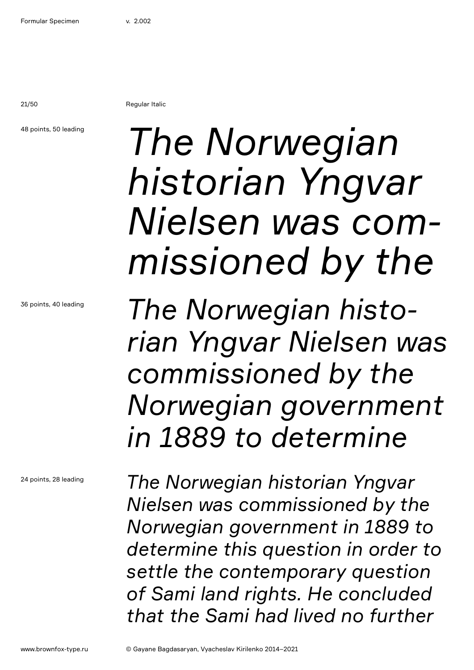21/50 Regular Italic

48 points, 50 leading

# *The Norwegian historian Yngvar Nielsen was commissioned by the*

*The Norwegian historian Yngvar Nielsen was commissioned by the Norwegian government in 1889 to determine* 

*The Norwegian historian Yngvar Nielsen was commissioned by the Norwegian government in 1889 to determine this question in order to settle the contemporary question of Sami land rights. He concluded that the Sami had lived no further*

36 points, 40 leading

24 points, 28 leading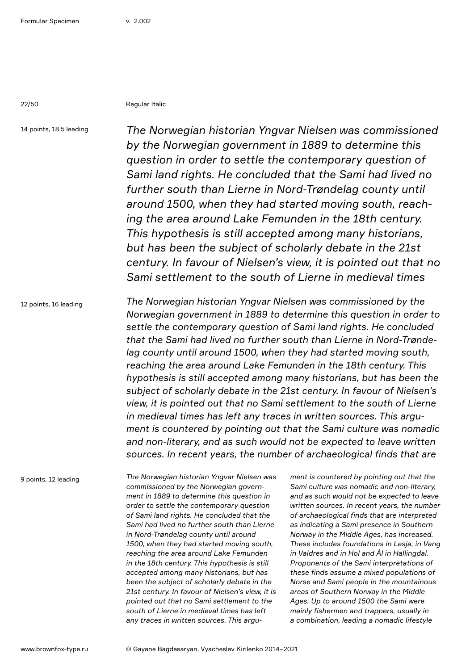22/50 Regular Italic

14 points, 18.5 leading

*The Norwegian historian Yngvar Nielsen was commissioned by the Norwegian government in 1889 to determine this question in order to settle the contemporary question of Sami land rights. He concluded that the Sami had lived no further south than Lierne in Nord-Trøndelag county until around 1500, when they had started moving south, reaching the area around Lake Femunden in the 18th century. This hypothesis is still accepted among many historians, but has been the subject of scholarly debate in the 21st century. In favour of Nielsen's view, it is pointed out that no Sami settlement to the south of Lierne in medieval times* 

12 points, 16 leading

*The Norwegian historian Yngvar Nielsen was commissioned by the Norwegian government in 1889 to determine this question in order to settle the contemporary question of Sami land rights. He concluded that the Sami had lived no further south than Lierne in Nord-Trøndelag county until around 1500, when they had started moving south, reaching the area around Lake Femunden in the 18th century. This hypothesis is still accepted among many historians, but has been the subject of scholarly debate in the 21st century. In favour of Nielsen's view, it is pointed out that no Sami settlement to the south of Lierne in medieval times has left any traces in written sources. This argument is countered by pointing out that the Sami culture was nomadic and non-literary, and as such would not be expected to leave written sources. In recent years, the number of archaeological finds that are* 

9 points, 12 leading

*The Norwegian historian Yngvar Nielsen was commissioned by the Norwegian government in 1889 to determine this question in order to settle the contemporary question of Sami land rights. He concluded that the Sami had lived no further south than Lierne in Nord-Trøndelag county until around 1500, when they had started moving south, reaching the area around Lake Femunden in the 18th century. This hypothesis is still accepted among many historians, but has been the subject of scholarly debate in the 21st century. In favour of Nielsen's view, it is pointed out that no Sami settlement to the south of Lierne in medieval times has left any traces in written sources. This argu-*

*ment is countered by pointing out that the Sami culture was nomadic and non-literary, and as such would not be expected to leave written sources. In recent years, the number of archaeological finds that are interpreted as indicating a Sami presence in Southern Norway in the Middle Ages, has increased. These includes foundations in Lesja, in Vang in Valdres and in Hol and Ål in Hallingdal. Proponents of the Sami interpretations of these finds assume a mixed populations of Norse and Sami people in the mountainous areas of Southern Norway in the Middle Ages. Up to around 1500 the Sami were mainly fishermen and trappers, usually in a combination, leading a nomadic lifestyle*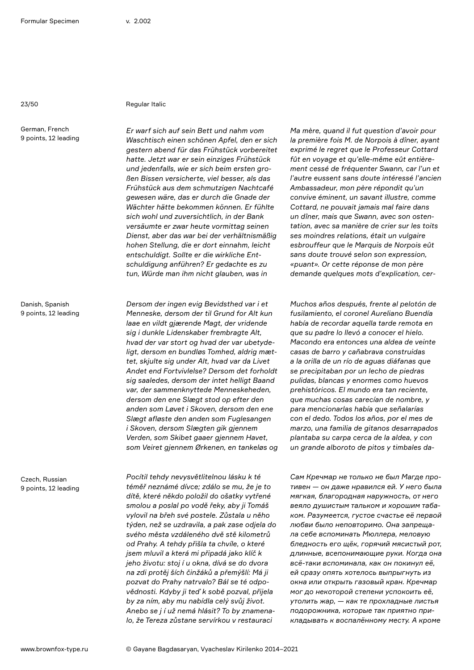### 23/50 Regular Italic

German, French 9 points, 12 leading

Danish, Spanish 9 points, 12 leading

Czech, Russian 9 points, 12 leading

*Er warf sich auf sein Bett und nahm vom Waschtisch einen schönen Apfel, den er sich gestern abend für das Frühstück vorbereitet hatte. Jetzt war er sein einziges Frühstück und jedenfalls, wie er sich beim ersten großen Bissen versicherte, viel besser, als das Frühstück aus dem schmutzigen Nachtcafé gewesen wäre, das er durch die Gnade der Wächter hätte bekommen können. Er fühlte sich wohl und zuversichtlich, in der Bank versäumte er zwar heute vormittag seinen Dienst, aber das war bei der verhältnismäßig hohen Stellung, die er dort einnahm, leicht entschuldigt. Sollte er die wirkliche Entschuldigung anführen? Er gedachte es zu tun, Würde man ihm nicht glauben, was in* 

*Dersom der ingen evig Bevidsthed var i et Menneske, dersom der til Grund for Alt kun laae en vildt gjærende Magt, der vridende sig i dunkle Lidenskaber frembragte Alt, hvad der var stort og hvad der var ubetydeligt, dersom en bundløs Tomhed, aldrig mættet, skjulte sig under Alt, hvad var da Livet Andet end Fortvivlelse? Dersom det forholdt sig saaledes, dersom der intet helligt Baand var, der sammenknyttede Menneskeheden, dersom den ene Slægt stod op efter den anden som Løvet i Skoven, dersom den ene Slægt afløste den anden som Fuglesangen i Skoven, dersom Slægten gik gjennem Verden, som Skibet gaaer gjennem Havet, som Veiret gjennem Ørkenen, en tankeløs og* 

*Pocítil tehdy nevysvětlitelnou lásku k té téměř neznámé dívce; zdálo se mu, že je to dítě, které někdo položil do ošatky vytřené smolou a poslal po vodě řeky, aby ji Tomáš vylovil na břeh své postele. Zůstala u něho týden, než se uzdravila, a pak zase odjela do svého města vzdáleného dvě stě kilometrů od Prahy. A tehdy přišla ta chvíle, o které jsem mluvil a která mi připadá jako klíč k jeho životu: stoj í u okna, dívá se do dvora na zdi protěj ších činžáků a přemýšlí: Má ji pozvat do Prahy natrvalo? Bál se té odpovědnosti. Kdyby ji teď k sobě pozval, přijela by za ním, aby mu nabídla celý svůj život. Anebo se j í už nemá hlásit? To by znamenalo, že Tereza zůstane servírkou v restauraci* 

*Ma mère, quand il fut question d'avoir pour la première fois M. de Norpois à dîner, ayant exprimé le regret que le Professeur Cottard fût en voyage et qu'elle-même eût entièrement cessé de fréquenter Swann, car l'un et l'autre eussent sans doute intéressé l'ancien Ambassadeur, mon père répondit qu'un convive éminent, un savant illustre, comme Cottard, ne pouvait jamais mal faire dans un dîner, mais que Swann, avec son ostentation, avec sa manière de crier sur les toits ses moindres relations, était un vulgaire esbrouffeur que le Marquis de Norpois eût sans doute trouvé selon son expression, «puant». Or cette réponse de mon père demande quelques mots d'explication, cer-*

*Muchos años después, frente al pelotón de fusilamiento, el coronel Aureliano Buendía había de recordar aquella tarde remota en que su padre lo llevó a conocer el hielo. Macondo era entonces una aldea de veinte casas de barro y cañabrava construidas a la orilla de un río de aguas diáfanas que se precipitaban por un lecho de piedras pulidas, blancas y enormes como huevos prehistóricos. El mundo era tan reciente, que muchas cosas carecían de nombre, y para mencionarlas había que señalarías con el dedo. Todos los años, por el mes de marzo, una familia de gitanos desarrapados plantaba su carpa cerca de la aldea, y con un grande alboroto de pitos y timbales da-*

*Сам Кречмар не только не был Магде противен — он даже нравился ей. У него была мягкая, благородная наружность, от него веяло душистым тальком и хорошим табаком. Разумеется, густое счастье её первой любви было неповторимо. Она запрещала себе вспоминать Мюллера, меловую бледность его щёк, горячий мясистый рот, длинные, всепонимающие руки. Когда она всё-таки вспоминала, как он покинул её, ей сразу опять хотелось выпрыгнуть из окна или открыть газовый кран. Кречмар мог до некоторой степени успокоить её, утолить жар, — как те прохладные листья подорожника, которые так приятно прикладывать к воспалённому месту. А кроме*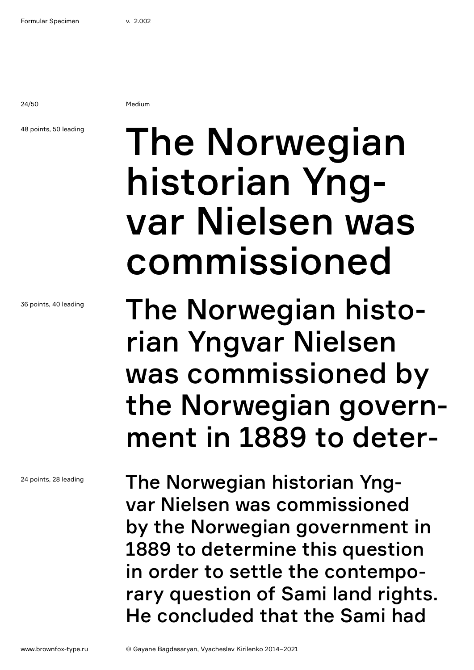24/50 Medium

### 48 points, 50 leading

36 points, 40 leading

24 points, 28 leading

# The Norwegian historian Yngvar Nielsen was commissioned

The Norwegian historian Yngvar Nielsen was commissioned by the Norwegian government in 1889 to deter-

The Norwegian historian Yngvar Nielsen was commissioned by the Norwegian government in 1889 to determine this question in order to settle the contemporary question of Sami land rights. He concluded that the Sami had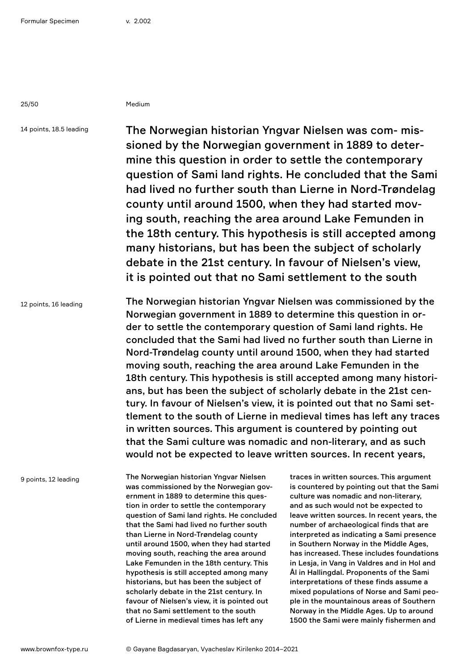25/50 Medium

14 points, 18.5 leading

The Norwegian historian Yngvar Nielsen was com- missioned by the Norwegian government in 1889 to determine this question in order to settle the contemporary question of Sami land rights. He concluded that the Sami had lived no further south than Lierne in Nord-Trøndelag county until around 1500, when they had started moving south, reaching the area around Lake Femunden in the 18th century. This hypothesis is still accepted among many historians, but has been the subject of scholarly debate in the 21st century. In favour of Nielsen's view, it is pointed out that no Sami settlement to the south

12 points, 16 leading

The Norwegian historian Yngvar Nielsen was commissioned by the Norwegian government in 1889 to determine this question in order to settle the contemporary question of Sami land rights. He concluded that the Sami had lived no further south than Lierne in Nord-Trøndelag county until around 1500, when they had started moving south, reaching the area around Lake Femunden in the 18th century. This hypothesis is still accepted among many historians, but has been the subject of scholarly debate in the 21st century. In favour of Nielsen's view, it is pointed out that no Sami settlement to the south of Lierne in medieval times has left any traces in written sources. This argument is countered by pointing out that the Sami culture was nomadic and non-literary, and as such would not be expected to leave written sources. In recent years,

9 points, 12 leading

The Norwegian historian Yngvar Nielsen was commissioned by the Norwegian government in 1889 to determine this question in order to settle the contemporary question of Sami land rights. He concluded that the Sami had lived no further south than Lierne in Nord-Trøndelag county until around 1500, when they had started moving south, reaching the area around Lake Femunden in the 18th century. This hypothesis is still accepted among many historians, but has been the subject of scholarly debate in the 21st century. In favour of Nielsen's view, it is pointed out that no Sami settlement to the south of Lierne in medieval times has left any

traces in written sources. This argument is countered by pointing out that the Sami culture was nomadic and non-literary, and as such would not be expected to leave written sources. In recent years, the number of archaeological finds that are interpreted as indicating a Sami presence in Southern Norway in the Middle Ages, has increased. These includes foundations in Lesja, in Vang in Valdres and in Hol and Ål in Hallingdal. Proponents of the Sami interpretations of these finds assume a mixed populations of Norse and Sami people in the mountainous areas of Southern Norway in the Middle Ages. Up to around 1500 the Sami were mainly fishermen and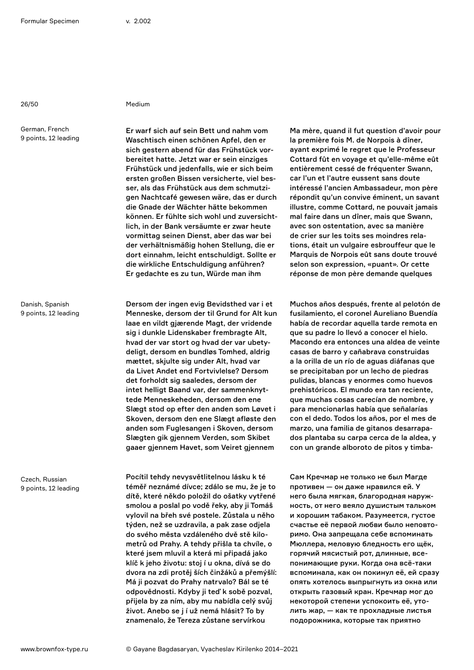26/50 Medium

German, French 9 points, 12 leading

Danish, Spanish 9 points, 12 leading

Czech, Russian 9 points, 12 leading

Er warf sich auf sein Bett und nahm vom Waschtisch einen schönen Apfel, den er sich gestern abend für das Frühstück vorbereitet hatte. Jetzt war er sein einziges Frühstück und jedenfalls, wie er sich beim ersten großen Bissen versicherte, viel besser, als das Frühstück aus dem schmutzigen Nachtcafé gewesen wäre, das er durch die Gnade der Wächter hätte bekommen können. Er fühlte sich wohl und zuversichtlich, in der Bank versäumte er zwar heute vormittag seinen Dienst, aber das war bei der verhältnismäßig hohen Stellung, die er dort einnahm, leicht entschuldigt. Sollte er die wirkliche Entschuldigung anführen? Er gedachte es zu tun, Würde man ihm

Dersom der ingen evig Bevidsthed var i et Menneske, dersom der til Grund for Alt kun laae en vildt gjærende Magt, der vridende sig i dunkle Lidenskaber frembragte Alt, hvad der var stort og hvad der var ubetydeligt, dersom en bundløs Tomhed, aldrig mættet, skjulte sig under Alt, hvad var da Livet Andet end Fortvivlelse? Dersom det forholdt sig saaledes, dersom der intet helligt Baand var, der sammenknyttede Menneskeheden, dersom den ene Slægt stod op efter den anden som Løvet i Skoven, dersom den ene Slægt afløste den anden som Fuglesangen i Skoven, dersom Slægten gik gjennem Verden, som Skibet gaaer gjennem Havet, som Veiret gjennem

Pocítil tehdy nevysvětlitelnou lásku k té téměř neznámé dívce; zdálo se mu, že je to dítě, které někdo položil do ošatky vytřené smolou a poslal po vodě řeky, aby ji Tomáš vylovil na břeh své postele. Zůstala u něho týden, než se uzdravila, a pak zase odjela do svého města vzdáleného dvě stě kilometrů od Prahy. A tehdy přišla ta chvíle, o které jsem mluvil a která mi připadá jako klíč k jeho životu: stoj í u okna, dívá se do dvora na zdi protěj ších činžáků a přemýšlí: Má ji pozvat do Prahy natrvalo? Bál se té odpovědnosti. Kdyby ji teď k sobě pozval, přijela by za ním, aby mu nabídla celý svůj život. Anebo se j í už nemá hlásit? To by znamenalo, že Tereza zůstane servírkou

Ma mère, quand il fut question d'avoir pour la première fois M. de Norpois à dîner, ayant exprimé le regret que le Professeur Cottard fût en voyage et qu'elle-même eût entièrement cessé de fréquenter Swann, car l'un et l'autre eussent sans doute intéressé l'ancien Ambassadeur, mon père répondit qu'un convive éminent, un savant illustre, comme Cottard, ne pouvait jamais mal faire dans un dîner, mais que Swann, avec son ostentation, avec sa manière de crier sur les toits ses moindres relations, était un vulgaire esbrouffeur que le Marquis de Norpois eût sans doute trouvé selon son expression, «puant». Or cette réponse de mon père demande quelques

Muchos años después, frente al pelotón de fusilamiento, el coronel Aureliano Buendía había de recordar aquella tarde remota en que su padre lo llevó a conocer el hielo. Macondo era entonces una aldea de veinte casas de barro y cañabrava construidas a la orilla de un río de aguas diáfanas que se precipitaban por un lecho de piedras pulidas, blancas y enormes como huevos prehistóricos. El mundo era tan reciente, que muchas cosas carecían de nombre, y para mencionarlas había que señalarías con el dedo. Todos los años, por el mes de marzo, una familia de gitanos desarrapados plantaba su carpa cerca de la aldea, y con un grande alboroto de pitos y timba-

Сам Кречмар не только не был Магде противен — он даже нравился ей. У него была мягкая, благородная наружность, от него веяло душистым тальком и хорошим табаком. Разумеется, густое счастье её первой любви было неповторимо. Она запрещала себе вспоминать Мюллера, меловую бледность его щёк, горячий мясистый рот, длинные, всепонимающие руки. Когда она всё-таки вспоминала, как он покинул её, ей сразу опять хотелось выпрыгнуть из окна или открыть газовый кран. Кречмар мог до некоторой степени успокоить её, утолить жар, — как те прохладные листья подорожника, которые так приятно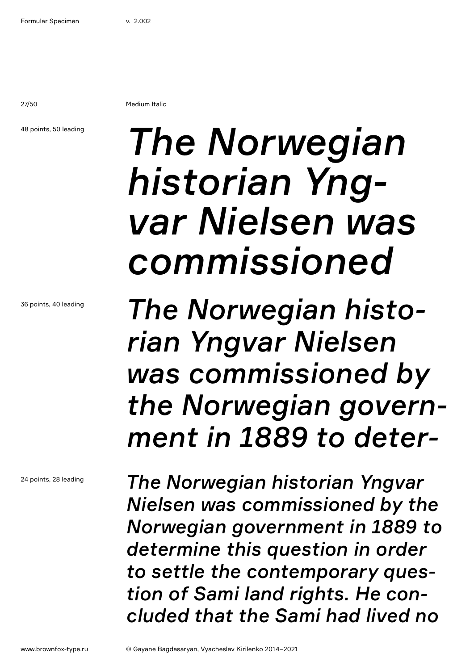27/50 Medium Italic

48 points, 50 leading

36 points, 40 leading

24 points, 28 leading

# *The Norwegian historian Yngvar Nielsen was commissioned*

*The Norwegian historian Yngvar Nielsen was commissioned by the Norwegian government in 1889 to deter-*

*The Norwegian historian Yngvar Nielsen was commissioned by the Norwegian government in 1889 to determine this question in order to settle the contemporary question of Sami land rights. He concluded that the Sami had lived no*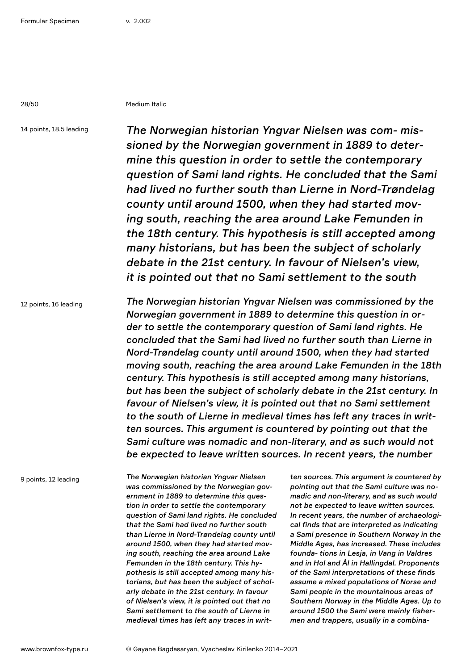28/50 Medium Italic

14 points, 18.5 leading

*The Norwegian historian Yngvar Nielsen was com- missioned by the Norwegian government in 1889 to determine this question in order to settle the contemporary question of Sami land rights. He concluded that the Sami had lived no further south than Lierne in Nord-Trøndelag county until around 1500, when they had started moving south, reaching the area around Lake Femunden in the 18th century. This hypothesis is still accepted among many historians, but has been the subject of scholarly debate in the 21st century. In favour of Nielsen's view, it is pointed out that no Sami settlement to the south* 

12 points, 16 leading

*The Norwegian historian Yngvar Nielsen was commissioned by the Norwegian government in 1889 to determine this question in order to settle the contemporary question of Sami land rights. He concluded that the Sami had lived no further south than Lierne in Nord-Trøndelag county until around 1500, when they had started moving south, reaching the area around Lake Femunden in the 18th century. This hypothesis is still accepted among many historians, but has been the subject of scholarly debate in the 21st century. In favour of Nielsen's view, it is pointed out that no Sami settlement to the south of Lierne in medieval times has left any traces in written sources. This argument is countered by pointing out that the Sami culture was nomadic and non-literary, and as such would not be expected to leave written sources. In recent years, the number* 

9 points, 12 leading

*The Norwegian historian Yngvar Nielsen was commissioned by the Norwegian government in 1889 to determine this question in order to settle the contemporary question of Sami land rights. He concluded that the Sami had lived no further south than Lierne in Nord-Trøndelag county until around 1500, when they had started moving south, reaching the area around Lake Femunden in the 18th century. This hypothesis is still accepted among many historians, but has been the subject of scholarly debate in the 21st century. In favour of Nielsen's view, it is pointed out that no Sami settlement to the south of Lierne in medieval times has left any traces in writ-* *ten sources. This argument is countered by pointing out that the Sami culture was nomadic and non-literary, and as such would not be expected to leave written sources. In recent years, the number of archaeological finds that are interpreted as indicating a Sami presence in Southern Norway in the Middle Ages, has increased. These includes founda- tions in Lesja, in Vang in Valdres and in Hol and Ål in Hallingdal. Proponents of the Sami interpretations of these finds assume a mixed populations of Norse and Sami people in the mountainous areas of Southern Norway in the Middle Ages. Up to around 1500 the Sami were mainly fishermen and trappers, usually in a combina-*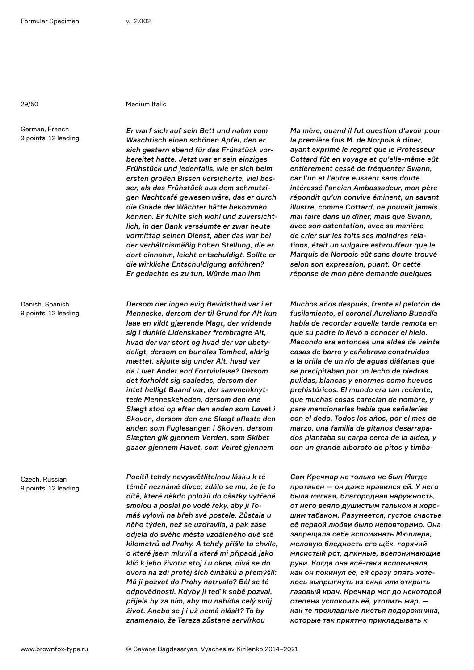German, French 9 points, 12 leading

### 29/50 Medium Italic

*Er warf sich auf sein Bett und nahm vom Waschtisch einen schönen Apfel, den er sich gestern abend für das Frühstück vorbereitet hatte. Jetzt war er sein einziges Frühstück und jedenfalls, wie er sich beim ersten großen Bissen versicherte, viel besser, als das Frühstück aus dem schmutzigen Nachtcafé gewesen wäre, das er durch die Gnade der Wächter hätte bekommen können. Er fühlte sich wohl und zuversichtlich, in der Bank versäumte er zwar heute vormittag seinen Dienst, aber das war bei der verhältnismäßig hohen Stellung, die er dort einnahm, leicht entschuldigt. Sollte er die wirkliche Entschuldigung anführen? Er gedachte es zu tun, Würde man ihm* 

Danish, Spanish 9 points, 12 leading

Czech, Russian 9 points, 12 leading

*Dersom der ingen evig Bevidsthed var i et Menneske, dersom der til Grund for Alt kun laae en vildt gjærende Magt, der vridende sig i dunkle Lidenskaber frembragte Alt, hvad der var stort og hvad der var ubetydeligt, dersom en bundløs Tomhed, aldrig mættet, skjulte sig under Alt, hvad var da Livet Andet end Fortvivlelse? Dersom det forholdt sig saaledes, dersom der intet helligt Baand var, der sammenknyttede Menneskeheden, dersom den ene Slægt stod op efter den anden som Løvet i Skoven, dersom den ene Slægt afløste den anden som Fuglesangen i Skoven, dersom Slægten gik gjennem Verden, som Skibet gaaer gjennem Havet, som Veiret gjennem* 

*Pocítil tehdy nevysvětlitelnou lásku k té téměř neznámé dívce; zdálo se mu, že je to dítě, které někdo položil do ošatky vytřené smolou a poslal po vodě řeky, aby ji Tomáš vylovil na břeh své postele. Zůstala u něho týden, než se uzdravila, a pak zase odjela do svého města vzdáleného dvě stě kilometrů od Prahy. A tehdy přišla ta chvíle, o které jsem mluvil a která mi připadá jako klíč k jeho životu: stoj í u okna, dívá se do dvora na zdi protěj ších činžáků a přemýšlí: Má ji pozvat do Prahy natrvalo? Bál se té odpovědnosti. Kdyby ji teď k sobě pozval, přijela by za ním, aby mu nabídla celý svůj život. Anebo se j í už nemá hlásit? To by znamenalo, že Tereza zůstane servírkou* 

*Ma mère, quand il fut question d'avoir pour la première fois M. de Norpois à dîner, ayant exprimé le regret que le Professeur Cottard fût en voyage et qu'elle-même eût entièrement cessé de fréquenter Swann, car l'un et l'autre eussent sans doute intéressé l'ancien Ambassadeur, mon père répondit qu'un convive éminent, un savant illustre, comme Cottard, ne pouvait jamais mal faire dans un dîner, mais que Swann, avec son ostentation, avec sa manière de crier sur les toits ses moindres relations, était un vulgaire esbrouffeur que le Marquis de Norpois eût sans doute trouvé selon son expression, puant. Or cette réponse de mon père demande quelques* 

*Muchos años después, frente al pelotón de fusilamiento, el coronel Aureliano Buendía había de recordar aquella tarde remota en que su padre lo llevó a conocer el hielo. Macondo era entonces una aldea de veinte casas de barro y cañabrava construidas a la orilla de un río de aguas diáfanas que se precipitaban por un lecho de piedras pulidas, blancas y enormes como huevos prehistóricos. El mundo era tan reciente, que muchas cosas carecían de nombre, y para mencionarlas había que señalarías con el dedo. Todos los años, por el mes de marzo, una familia de gitanos desarrapados plantaba su carpa cerca de la aldea, y con un grande alboroto de pitos y timba-*

*Сам Кречмар не только не был Магде противен — он даже нравился ей. У него была мягкая, благородная наружность, от него веяло душистым тальком и хорошим табаком. Разумеется, густое счастье её первой любви было неповторимо. Она запрещала себе вспоминать Мюллера, меловую бледность его щёк, горячий мясистый рот, длинные, всепонимающие руки. Когда она всё-таки вспоминала, как он покинул её, ей сразу опять хотелось выпрыгнуть из окна или открыть газовый кран. Кречмар мог до некоторой степени успокоить её, утолить жар, как те прохладные листья подорожника, которые так приятно прикладывать к*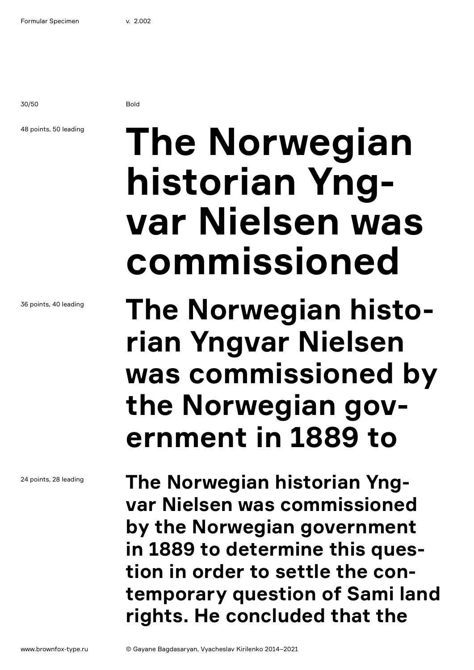30/50 Bold

## 48 points, 50 leading

**The Norwegian historian Yngvar Nielsen was commissioned**

**The Norwegian historian Yngvar Nielsen was commissioned by the Norwegian government in 1889 to** 

**The Norwegian historian Yngvar Nielsen was commissioned by the Norwegian government in 1889 to determine this question in order to settle the contemporary question of Sami land rights. He concluded that the** 

36 points, 40 leading

24 points, 28 leading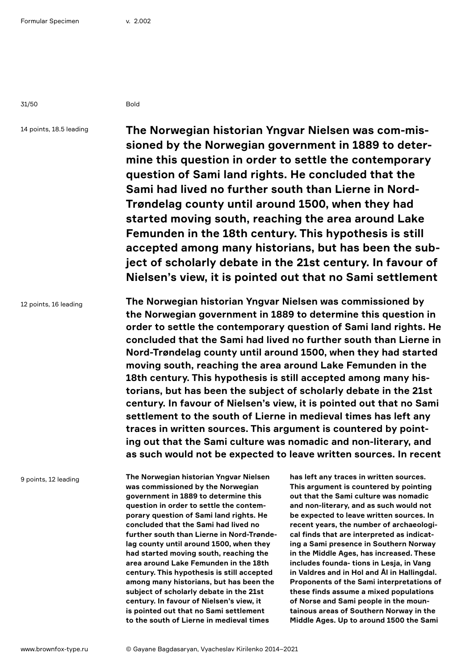31/50 Bold

14 points, 18.5 leading

**The Norwegian historian Yngvar Nielsen was com-missioned by the Norwegian government in 1889 to determine this question in order to settle the contemporary question of Sami land rights. He concluded that the Sami had lived no further south than Lierne in Nord-Trøndelag county until around 1500, when they had started moving south, reaching the area around Lake Femunden in the 18th century. This hypothesis is still accepted among many historians, but has been the subject of scholarly debate in the 21st century. In favour of Nielsen's view, it is pointed out that no Sami settlement** 

12 points, 16 leading

**The Norwegian historian Yngvar Nielsen was commissioned by the Norwegian government in 1889 to determine this question in order to settle the contemporary question of Sami land rights. He concluded that the Sami had lived no further south than Lierne in Nord-Trøndelag county until around 1500, when they had started moving south, reaching the area around Lake Femunden in the 18th century. This hypothesis is still accepted among many historians, but has been the subject of scholarly debate in the 21st century. In favour of Nielsen's view, it is pointed out that no Sami settlement to the south of Lierne in medieval times has left any traces in written sources. This argument is countered by pointing out that the Sami culture was nomadic and non-literary, and as such would not be expected to leave written sources. In recent** 

9 points, 12 leading

**The Norwegian historian Yngvar Nielsen was commissioned by the Norwegian government in 1889 to determine this question in order to settle the contemporary question of Sami land rights. He concluded that the Sami had lived no further south than Lierne in Nord-Trøndelag county until around 1500, when they had started moving south, reaching the area around Lake Femunden in the 18th century. This hypothesis is still accepted among many historians, but has been the subject of scholarly debate in the 21st century. In favour of Nielsen's view, it is pointed out that no Sami settlement to the south of Lierne in medieval times** 

**has left any traces in written sources. This argument is countered by pointing out that the Sami culture was nomadic and non-literary, and as such would not be expected to leave written sources. In recent years, the number of archaeological finds that are interpreted as indicating a Sami presence in Southern Norway in the Middle Ages, has increased. These includes founda- tions in Lesja, in Vang in Valdres and in Hol and Ål in Hallingdal. Proponents of the Sami interpretations of these finds assume a mixed populations of Norse and Sami people in the mountainous areas of Southern Norway in the Middle Ages. Up to around 1500 the Sami**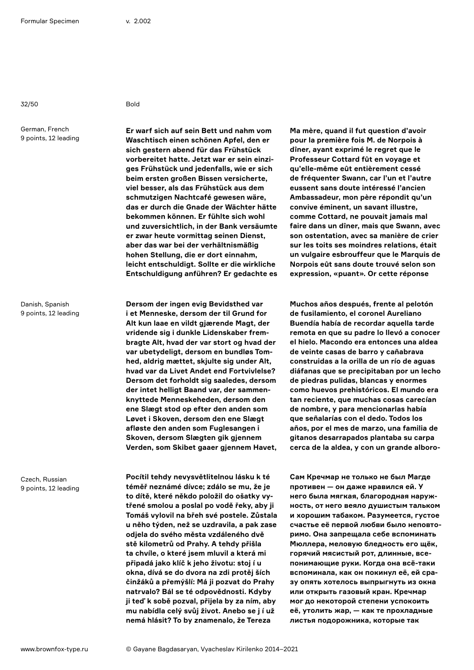32/50 Bold

German, French 9 points, 12 leading

Danish, Spanish 9 points, 12 leading

Czech, Russian 9 points, 12 leading

**Er warf sich auf sein Bett und nahm vom Waschtisch einen schönen Apfel, den er sich gestern abend für das Frühstück vorbereitet hatte. Jetzt war er sein einziges Frühstück und jedenfalls, wie er sich beim ersten großen Bissen versicherte, viel besser, als das Frühstück aus dem schmutzigen Nachtcafé gewesen wäre, das er durch die Gnade der Wächter hätte bekommen können. Er fühlte sich wohl und zuversichtlich, in der Bank versäumte er zwar heute vormittag seinen Dienst, aber das war bei der verhältnismäßig hohen Stellung, die er dort einnahm, leicht entschuldigt. Sollte er die wirkliche Entschuldigung anführen? Er gedachte es** 

**Dersom der ingen evig Bevidsthed var i et Menneske, dersom der til Grund for Alt kun laae en vildt gjærende Magt, der vridende sig i dunkle Lidenskaber frembragte Alt, hvad der var stort og hvad der var ubetydeligt, dersom en bundløs Tomhed, aldrig mættet, skjulte sig under Alt, hvad var da Livet Andet end Fortvivlelse? Dersom det forholdt sig saaledes, dersom der intet helligt Baand var, der sammenknyttede Menneskeheden, dersom den ene Slægt stod op efter den anden som Løvet i Skoven, dersom den ene Slægt afløste den anden som Fuglesangen i Skoven, dersom Slægten gik gjennem Verden, som Skibet gaaer gjennem Havet,** 

**Pocítil tehdy nevysvětlitelnou lásku k té téměř neznámé dívce; zdálo se mu, že je to dítě, které někdo položil do ošatky vytřené smolou a poslal po vodě řeky, aby ji Tomáš vylovil na břeh své postele. Zůstala u něho týden, než se uzdravila, a pak zase odjela do svého města vzdáleného dvě stě kilometrů od Prahy. A tehdy přišla ta chvíle, o které jsem mluvil a která mi připadá jako klíč k jeho životu: stoj í u okna, dívá se do dvora na zdi protěj ších činžáků a přemýšlí: Má ji pozvat do Prahy natrvalo? Bál se té odpovědnosti. Kdyby ji teď k sobě pozval, přijela by za ním, aby mu nabídla celý svůj život. Anebo se j í už nemá hlásit? To by znamenalo, že Tereza** 

**Ma mère, quand il fut question d'avoir pour la première fois M. de Norpois à dîner, ayant exprimé le regret que le Professeur Cottard fût en voyage et qu'elle-même eût entièrement cessé de fréquenter Swann, car l'un et l'autre eussent sans doute intéressé l'ancien Ambassadeur, mon père répondit qu'un convive éminent, un savant illustre, comme Cottard, ne pouvait jamais mal faire dans un dîner, mais que Swann, avec son ostentation, avec sa manière de crier sur les toits ses moindres relations, était un vulgaire esbrouffeur que le Marquis de Norpois eût sans doute trouvé selon son expression, «puant». Or cette réponse** 

**Muchos años después, frente al pelotón de fusilamiento, el coronel Aureliano Buendía había de recordar aquella tarde remota en que su padre lo llevó a conocer el hielo. Macondo era entonces una aldea de veinte casas de barro y cañabrava construidas a la orilla de un río de aguas diáfanas que se precipitaban por un lecho de piedras pulidas, blancas y enormes como huevos prehistóricos. El mundo era tan reciente, que muchas cosas carecían de nombre, y para mencionarlas había que señalarías con el dedo. Todos los años, por el mes de marzo, una familia de gitanos desarrapados plantaba su carpa cerca de la aldea, y con un grande alboro-**

**Сам Кречмар не только не был Магде противен — он даже нравился ей. У него была мягкая, благородная наружность, от него веяло душистым тальком и хорошим табаком. Разумеется, густое счастье её первой любви было неповторимо. Она запрещала себе вспоминать Мюллера, меловую бледность его щёк, горячий мясистый рот, длинные, всепонимающие руки. Когда она всё-таки вспоминала, как он покинул её, ей сразу опять хотелось выпрыгнуть из окна или открыть газовый кран. Кречмар мог до некоторой степени успокоить её, утолить жар, — как те прохладные листья подорожника, которые так**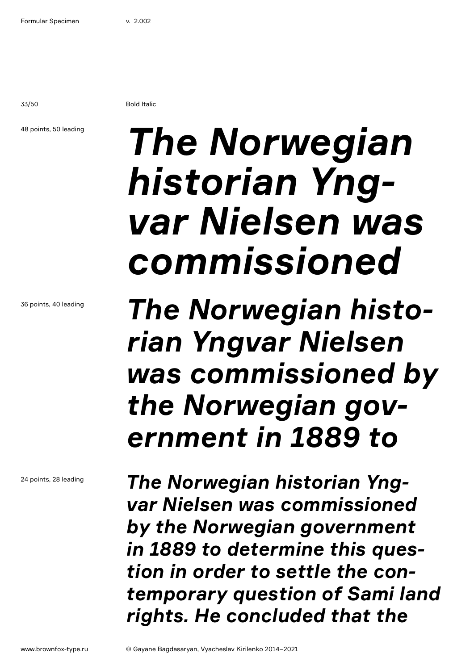33/50 Bold Italic

### 48 points, 50 leading

# *The Norwegian historian Yngvar Nielsen was commissioned*

*The Norwegian historian Yngvar Nielsen was commissioned by the Norwegian government in 1889 to* 

*The Norwegian historian Yngvar Nielsen was commissioned by the Norwegian government in 1889 to determine this question in order to settle the contemporary question of Sami land rights. He concluded that the* 

36 points, 40 leading

24 points, 28 leading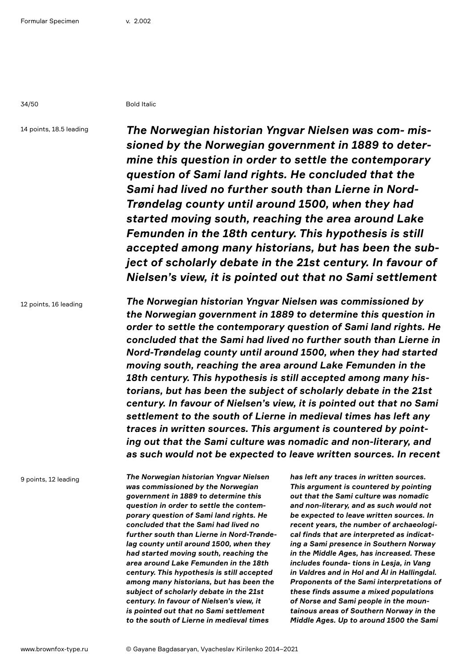34/50 Bold Italic

14 points, 18.5 leading

*The Norwegian historian Yngvar Nielsen was com- missioned by the Norwegian government in 1889 to determine this question in order to settle the contemporary question of Sami land rights. He concluded that the Sami had lived no further south than Lierne in Nord-Trøndelag county until around 1500, when they had started moving south, reaching the area around Lake Femunden in the 18th century. This hypothesis is still accepted among many historians, but has been the subject of scholarly debate in the 21st century. In favour of Nielsen's view, it is pointed out that no Sami settlement* 

12 points, 16 leading

*The Norwegian historian Yngvar Nielsen was commissioned by the Norwegian government in 1889 to determine this question in order to settle the contemporary question of Sami land rights. He concluded that the Sami had lived no further south than Lierne in Nord-Trøndelag county until around 1500, when they had started moving south, reaching the area around Lake Femunden in the 18th century. This hypothesis is still accepted among many historians, but has been the subject of scholarly debate in the 21st century. In favour of Nielsen's view, it is pointed out that no Sami settlement to the south of Lierne in medieval times has left any traces in written sources. This argument is countered by pointing out that the Sami culture was nomadic and non-literary, and as such would not be expected to leave written sources. In recent* 

9 points, 12 leading

*The Norwegian historian Yngvar Nielsen was commissioned by the Norwegian government in 1889 to determine this question in order to settle the contemporary question of Sami land rights. He concluded that the Sami had lived no further south than Lierne in Nord-Trøndelag county until around 1500, when they had started moving south, reaching the area around Lake Femunden in the 18th century. This hypothesis is still accepted among many historians, but has been the subject of scholarly debate in the 21st century. In favour of Nielsen's view, it is pointed out that no Sami settlement to the south of Lierne in medieval times* 

*has left any traces in written sources. This argument is countered by pointing out that the Sami culture was nomadic and non-literary, and as such would not be expected to leave written sources. In recent years, the number of archaeological finds that are interpreted as indicating a Sami presence in Southern Norway in the Middle Ages, has increased. These includes founda- tions in Lesja, in Vang in Valdres and in Hol and Ål in Hallingdal. Proponents of the Sami interpretations of these finds assume a mixed populations of Norse and Sami people in the mountainous areas of Southern Norway in the Middle Ages. Up to around 1500 the Sami*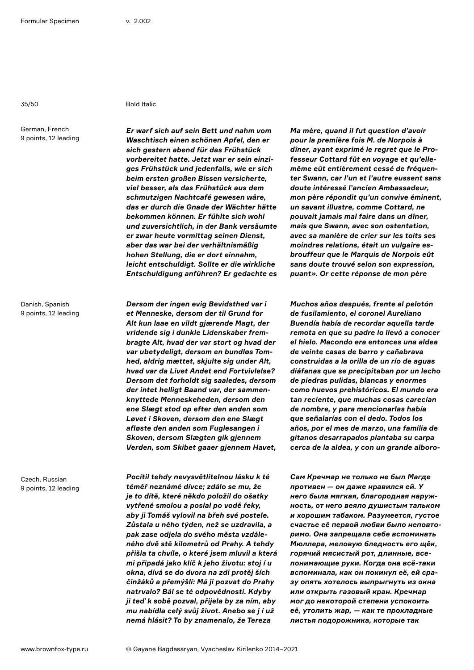German, French 9 points, 12 leading

Danish, Spanish 9 points, 12 leading

Czech, Russian 9 points, 12 leading

## 35/50 Bold Italic

*Er warf sich auf sein Bett und nahm vom Waschtisch einen schönen Apfel, den er sich gestern abend für das Frühstück vorbereitet hatte. Jetzt war er sein einziges Frühstück und jedenfalls, wie er sich beim ersten großen Bissen versicherte, viel besser, als das Frühstück aus dem schmutzigen Nachtcafé gewesen wäre, das er durch die Gnade der Wächter hätte bekommen können. Er fühlte sich wohl und zuversichtlich, in der Bank versäumte er zwar heute vormittag seinen Dienst, aber das war bei der verhältnismäßig hohen Stellung, die er dort einnahm, leicht entschuldigt. Sollte er die wirkliche Entschuldigung anführen? Er gedachte es* 

*Dersom der ingen evig Bevidsthed var i et Menneske, dersom der til Grund for Alt kun laae en vildt gjærende Magt, der vridende sig i dunkle Lidenskaber frembragte Alt, hvad der var stort og hvad der var ubetydeligt, dersom en bundløs Tomhed, aldrig mættet, skjulte sig under Alt, hvad var da Livet Andet end Fortvivlelse? Dersom det forholdt sig saaledes, dersom der intet helligt Baand var, der sammenknyttede Menneskeheden, dersom den ene Slægt stod op efter den anden som Løvet i Skoven, dersom den ene Slægt afløste den anden som Fuglesangen i Skoven, dersom Slægten gik gjennem Verden, som Skibet gaaer gjennem Havet,* 

*Pocítil tehdy nevysvětlitelnou lásku k té téměř neznámé dívce; zdálo se mu, že je to dítě, které někdo položil do ošatky vytřené smolou a poslal po vodě řeky, aby ji Tomáš vylovil na břeh své postele. Zůstala u něho týden, než se uzdravila, a pak zase odjela do svého města vzdáleného dvě stě kilometrů od Prahy. A tehdy přišla ta chvíle, o které jsem mluvil a která mi připadá jako klíč k jeho životu: stoj í u okna, dívá se do dvora na zdi protěj ších činžáků a přemýšlí: Má ji pozvat do Prahy natrvalo? Bál se té odpovědnosti. Kdyby ji teď k sobě pozval, přijela by za ním, aby mu nabídla celý svůj život. Anebo se j í už nemá hlásit? To by znamenalo, že Tereza* 

*Ma mère, quand il fut question d'avoir pour la première fois M. de Norpois à dîner, ayant exprimé le regret que le Professeur Cottard fût en voyage et qu'ellemême eût entièrement cessé de fréquenter Swann, car l'un et l'autre eussent sans doute intéressé l'ancien Ambassadeur, mon père répondit qu'un convive éminent, un savant illustre, comme Cottard, ne pouvait jamais mal faire dans un dîner, mais que Swann, avec son ostentation, avec sa manière de crier sur les toits ses moindres relations, était un vulgaire esbrouffeur que le Marquis de Norpois eût sans doute trouvé selon son expression, puant». Or cette réponse de mon père* 

*Muchos años después, frente al pelotón de fusilamiento, el coronel Aureliano Buendía había de recordar aquella tarde remota en que su padre lo llevó a conocer el hielo. Macondo era entonces una aldea de veinte casas de barro y cañabrava construidas a la orilla de un río de aguas diáfanas que se precipitaban por un lecho de piedras pulidas, blancas y enormes como huevos prehistóricos. El mundo era tan reciente, que muchas cosas carecían de nombre, y para mencionarlas había que señalarías con el dedo. Todos los años, por el mes de marzo, una familia de gitanos desarrapados plantaba su carpa cerca de la aldea, y con un grande alboro-*

*Сам Кречмар не только не был Магде противен — он даже нравился ей. У него была мягкая, благородная наружность, от него веяло душистым тальком и хорошим табаком. Разумеется, густое счастье её первой любви было неповторимо. Она запрещала себе вспоминать Мюллера, меловую бледность его щёк, горячий мясистый рот, длинные, всепонимающие руки. Когда она всё-таки вспоминала, как он покинул её, ей сразу опять хотелось выпрыгнуть из окна или открыть газовый кран. Кречмар мог до некоторой степени успокоить её, утолить жар, — как те прохладные листья подорожника, которые так*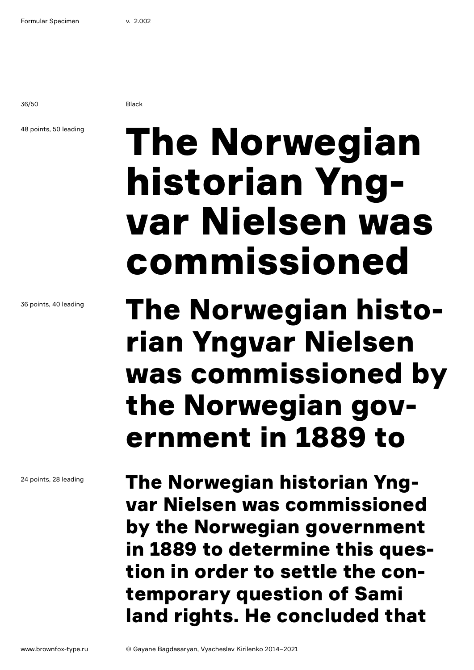36/50 Black

## 48 points, 50 leading

## The Norwegian historian Yngvar Nielsen was commissioned

## The Norwegian historian Yngvar Nielsen was commissioned by the Norwegian government in 1889 to

The Norwegian historian Yngvar Nielsen was commissioned by the Norwegian government in 1889 to determine this question in order to settle the contemporary question of Sami land rights. He concluded that

36 points, 40 leading

24 points, 28 leading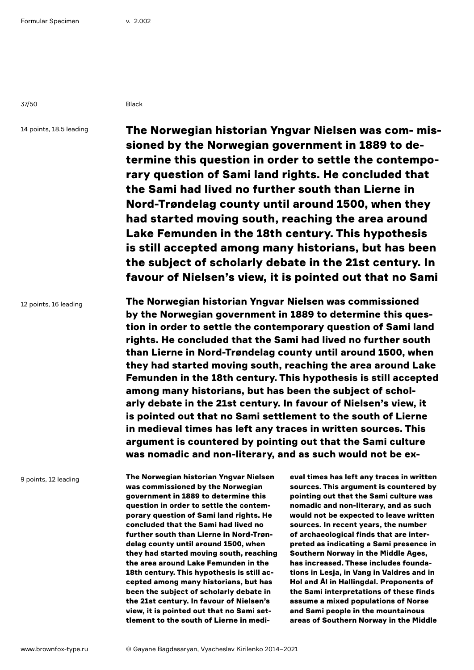37/50 Black

14 points, 18.5 leading

The Norwegian historian Yngvar Nielsen was com- missioned by the Norwegian government in 1889 to determine this question in order to settle the contemporary question of Sami land rights. He concluded that the Sami had lived no further south than Lierne in Nord-Trøndelag county until around 1500, when they had started moving south, reaching the area around Lake Femunden in the 18th century. This hypothesis is still accepted among many historians, but has been the subject of scholarly debate in the 21st century. In favour of Nielsen's view, it is pointed out that no Sami

12 points, 16 leading

The Norwegian historian Yngvar Nielsen was commissioned by the Norwegian government in 1889 to determine this question in order to settle the contemporary question of Sami land rights. He concluded that the Sami had lived no further south than Lierne in Nord-Trøndelag county until around 1500, when they had started moving south, reaching the area around Lake Femunden in the 18th century. This hypothesis is still accepted among many historians, but has been the subject of scholarly debate in the 21st century. In favour of Nielsen's view, it is pointed out that no Sami settlement to the south of Lierne in medieval times has left any traces in written sources. This argument is countered by pointing out that the Sami culture was nomadic and non-literary, and as such would not be ex-

9 points, 12 leading

The Norwegian historian Yngvar Nielsen was commissioned by the Norwegian government in 1889 to determine this question in order to settle the contemporary question of Sami land rights. He concluded that the Sami had lived no further south than Lierne in Nord-Trøndelag county until around 1500, when they had started moving south, reaching the area around Lake Femunden in the 18th century. This hypothesis is still accepted among many historians, but has been the subject of scholarly debate in the 21st century. In favour of Nielsen's view, it is pointed out that no Sami settlement to the south of Lierne in medi-

eval times has left any traces in written sources. This argument is countered by pointing out that the Sami culture was nomadic and non-literary, and as such would not be expected to leave written sources. In recent years, the number of archaeological finds that are interpreted as indicating a Sami presence in Southern Norway in the Middle Ages, has increased. These includes foundations in Lesja, in Vang in Valdres and in Hol and Ål in Hallingdal. Proponents of the Sami interpretations of these finds assume a mixed populations of Norse and Sami people in the mountainous areas of Southern Norway in the Middle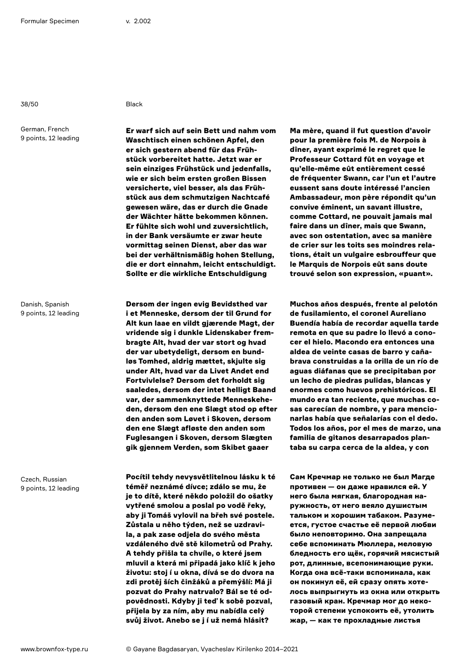38/50 Black

German, French 9 points, 12 leading

Danish, Spanish 9 points, 12 leading

Czech, Russian 9 points, 12 leading

Er warf sich auf sein Bett und nahm vom Waschtisch einen schönen Apfel, den er sich gestern abend für das Frühstück vorbereitet hatte. Jetzt war er sein einziges Frühstück und jedenfalls, wie er sich beim ersten großen Bissen versicherte, viel besser, als das Frühstück aus dem schmutzigen Nachtcafé gewesen wäre, das er durch die Gnade der Wächter hätte bekommen können. Er fühlte sich wohl und zuversichtlich, in der Bank versäumte er zwar heute vormittag seinen Dienst, aber das war bei der verhältnismäßig hohen Stellung, die er dort einnahm, leicht entschuldigt. Sollte er die wirkliche Entschuldigung

Dersom der ingen evig Bevidsthed var i et Menneske, dersom der til Grund for Alt kun laae en vildt gjærende Magt, der vridende sig i dunkle Lidenskaber frembragte Alt, hvad der var stort og hvad der var ubetydeligt, dersom en bundløs Tomhed, aldrig mættet, skjulte sig under Alt, hvad var da Livet Andet end Fortvivlelse? Dersom det forholdt sig saaledes, dersom der intet helligt Baand var, der sammenknyttede Menneskeheden, dersom den ene Slægt stod op efter den anden som Løvet i Skoven, dersom den ene Slægt afløste den anden som Fuglesangen i Skoven, dersom Slægten gik gjennem Verden, som Skibet gaaer

Pocítil tehdy nevysvětlitelnou lásku k té téměř neznámé dívce; zdálo se mu, že je to dítě, které někdo položil do ošatky vytřené smolou a poslal po vodě řeky, aby ji Tomáš vylovil na břeh své postele. Zůstala u něho týden, než se uzdravila, a pak zase odjela do svého města vzdáleného dvě stě kilometrů od Prahy. A tehdy přišla ta chvíle, o které jsem mluvil a která mi připadá jako klíč k jeho životu: stoj í u okna, dívá se do dvora na zdi protěj ších činžáků a přemýšlí: Má ji pozvat do Prahy natrvalo? Bál se té odpovědnosti. Kdyby ji teď k sobě pozval, přijela by za ním, aby mu nabídla celý svůj život. Anebo se j í už nemá hlásit?

Ma mère, quand il fut question d'avoir pour la première fois M. de Norpois à dîner, ayant exprimé le regret que le Professeur Cottard fût en voyage et qu'elle-même eût entièrement cessé de fréquenter Swann, car l'un et l'autre eussent sans doute intéressé l'ancien Ambassadeur, mon père répondit qu'un convive éminent, un savant illustre, comme Cottard, ne pouvait jamais mal faire dans un dîner, mais que Swann, avec son ostentation, avec sa manière de crier sur les toits ses moindres relations, était un vulgaire esbrouffeur que le Marquis de Norpois eût sans doute trouvé selon son expression, «puant».

Muchos años después, frente al pelotón de fusilamiento, el coronel Aureliano Buendía había de recordar aquella tarde remota en que su padre lo llevó a conocer el hielo. Macondo era entonces una aldea de veinte casas de barro y cañabrava construidas a la orilla de un río de aguas diáfanas que se precipitaban por un lecho de piedras pulidas, blancas y enormes como huevos prehistóricos. El mundo era tan reciente, que muchas cosas carecían de nombre, y para mencionarlas había que señalarías con el dedo. Todos los años, por el mes de marzo, una familia de gitanos desarrapados plantaba su carpa cerca de la aldea, y con

Сам Кречмар не только не был Магде противен — он даже нравился ей. У него была мягкая, благородная наружность, от него веяло душистым тальком и хорошим табаком. Разумеется, густое счастье её первой любви было неповторимо. Она запрещала себе вспоминать Мюллера, меловую бледность его щёк, горячий мясистый рот, длинные, всепонимающие руки. Когда она всё-таки вспоминала, как он покинул её, ей сразу опять хотелось выпрыгнуть из окна или открыть газовый кран. Кречмар мог до некоторой степени успокоить её, утолить жар, — как те прохладные листья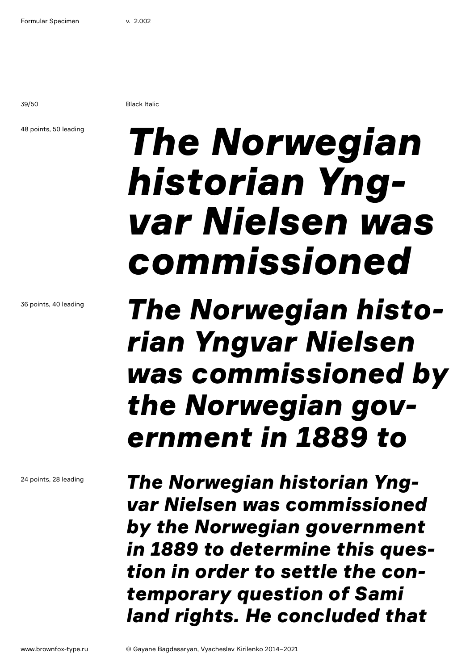39/50 Black Italic

### 48 points, 50 leading

# *The Norwegian historian Yngvar Nielsen was commissioned*

## *The Norwegian historian Yngvar Nielsen was commissioned by the Norwegian government in 1889 to*

*The Norwegian historian Yngvar Nielsen was commissioned by the Norwegian government in 1889 to determine this question in order to settle the contemporary question of Sami land rights. He concluded that* 

36 points, 40 leading

24 points, 28 leading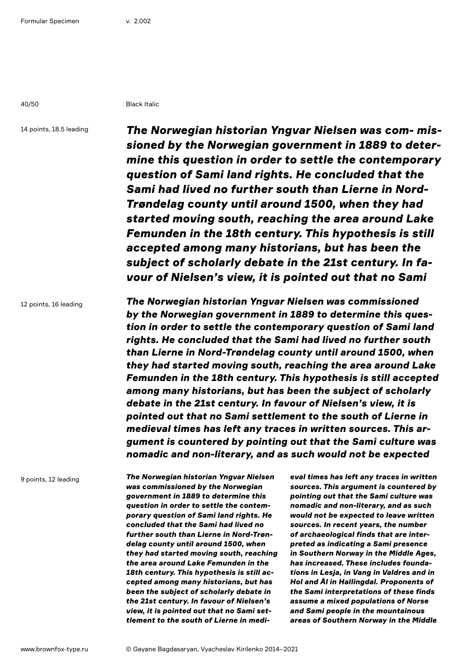40/50 Black Italic

14 points, 18.5 leading

*The Norwegian historian Yngvar Nielsen was com- missioned by the Norwegian government in 1889 to determine this question in order to settle the contemporary question of Sami land rights. He concluded that the Sami had lived no further south than Lierne in Nord-Trøndelag county until around 1500, when they had started moving south, reaching the area around Lake Femunden in the 18th century. This hypothesis is still accepted among many historians, but has been the subject of scholarly debate in the 21st century. In favour of Nielsen's view, it is pointed out that no Sami* 

12 points, 16 leading

*The Norwegian historian Yngvar Nielsen was commissioned by the Norwegian government in 1889 to determine this question in order to settle the contemporary question of Sami land rights. He concluded that the Sami had lived no further south than Lierne in Nord-Trøndelag county until around 1500, when they had started moving south, reaching the area around Lake Femunden in the 18th century. This hypothesis is still accepted among many historians, but has been the subject of scholarly debate in the 21st century. In favour of Nielsen's view, it is pointed out that no Sami settlement to the south of Lierne in medieval times has left any traces in written sources. This argument is countered by pointing out that the Sami culture was nomadic and non-literary, and as such would not be expected* 

9 points, 12 leading

*The Norwegian historian Yngvar Nielsen was commissioned by the Norwegian government in 1889 to determine this question in order to settle the contemporary question of Sami land rights. He concluded that the Sami had lived no further south than Lierne in Nord-Trøndelag county until around 1500, when they had started moving south, reaching the area around Lake Femunden in the 18th century. This hypothesis is still accepted among many historians, but has been the subject of scholarly debate in the 21st century. In favour of Nielsen's view, it is pointed out that no Sami settlement to the south of Lierne in medi-* *eval times has left any traces in written sources. This argument is countered by pointing out that the Sami culture was nomadic and non-literary, and as such would not be expected to leave written sources. In recent years, the number of archaeological finds that are interpreted as indicating a Sami presence in Southern Norway in the Middle Ages, has increased. These includes foundations in Lesja, in Vang in Valdres and in Hol and Ål in Hallingdal. Proponents of the Sami interpretations of these finds assume a mixed populations of Norse and Sami people in the mountainous areas of Southern Norway in the Middle*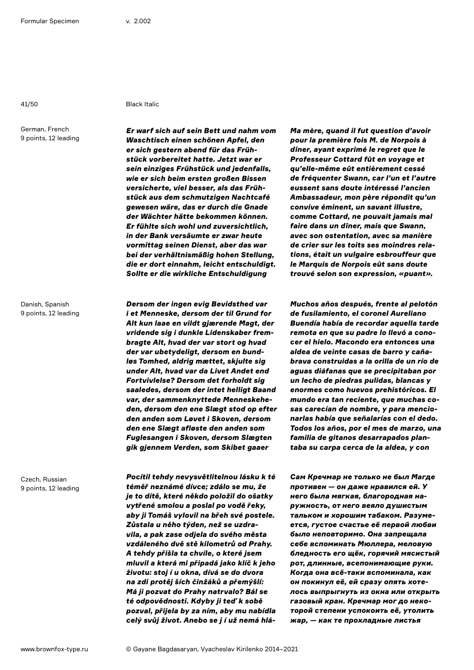German, French 9 points, 12 leading

Danish, Spanish 9 points, 12 leading

Czech, Russian 9 points, 12 leading

41/50 Black Italic

*Er warf sich auf sein Bett und nahm vom Waschtisch einen schönen Apfel, den er sich gestern abend für das Frühstück vorbereitet hatte. Jetzt war er sein einziges Frühstück und jedenfalls, wie er sich beim ersten großen Bissen versicherte, viel besser, als das Frühstück aus dem schmutzigen Nachtcafé gewesen wäre, das er durch die Gnade der Wächter hätte bekommen können. Er fühlte sich wohl und zuversichtlich, in der Bank versäumte er zwar heute vormittag seinen Dienst, aber das war bei der verhältnismäßig hohen Stellung, die er dort einnahm, leicht entschuldigt. Sollte er die wirkliche Entschuldigung* 

*Dersom der ingen evig Bevidsthed var i et Menneske, dersom der til Grund for Alt kun laae en vildt gjærende Magt, der vridende sig i dunkle Lidenskaber frembragte Alt, hvad der var stort og hvad der var ubetydeligt, dersom en bundløs Tomhed, aldrig mættet, skjulte sig under Alt, hvad var da Livet Andet end Fortvivlelse? Dersom det forholdt sig saaledes, dersom der intet helligt Baand var, der sammenknyttede Menneskeheden, dersom den ene Slægt stod op efter den anden som Løvet i Skoven, dersom den ene Slægt afløste den anden som Fuglesangen i Skoven, dersom Slægten gik gjennem Verden, som Skibet gaaer* 

*Pocítil tehdy nevysvětlitelnou lásku k té téměř neznámé dívce; zdálo se mu, že je to dítě, které někdo položil do ošatky vytřené smolou a poslal po vodě řeky, aby ji Tomáš vylovil na břeh své postele. Zůstala u něho týden, než se uzdravila, a pak zase odjela do svého města vzdáleného dvě stě kilometrů od Prahy. A tehdy přišla ta chvíle, o které jsem mluvil a která mi připadá jako klíč k jeho životu: stoj í u okna, dívá se do dvora na zdi protěj ších činžáků a přemýšlí: Má ji pozvat do Prahy natrvalo? Bál se té odpovědnosti. Kdyby ji teď k sobě pozval, přijela by za ním, aby mu nabídla celý svůj život. Anebo se j í už nemá hlá-* *Ma mère, quand il fut question d'avoir pour la première fois M. de Norpois à dîner, ayant exprimé le regret que le Professeur Cottard fût en voyage et qu'elle-même eût entièrement cessé de fréquenter Swann, car l'un et l'autre eussent sans doute intéressé l'ancien Ambassadeur, mon père répondit qu'un convive éminent, un savant illustre, comme Cottard, ne pouvait jamais mal faire dans un dîner, mais que Swann, avec son ostentation, avec sa manière de crier sur les toits ses moindres relations, était un vulgaire esbrouffeur que le Marquis de Norpois eût sans doute trouvé selon son expression, «puant».* 

*Muchos años después, frente al pelotón de fusilamiento, el coronel Aureliano Buendía había de recordar aquella tarde remota en que su padre lo llevó a conocer el hielo. Macondo era entonces una aldea de veinte casas de barro y cañabrava construidas a la orilla de un río de aguas diáfanas que se precipitaban por un lecho de piedras pulidas, blancas y enormes como huevos prehistóricos. El mundo era tan reciente, que muchas cosas carecían de nombre, y para mencionarlas había que señalarías con el dedo. Todos los años, por el mes de marzo, una familia de gitanos desarrapados plantaba su carpa cerca de la aldea, y con* 

*Сам Кречмар не только не был Магде противен — он даже нравился ей. У него была мягкая, благородная наружность, от него веяло душистым тальком и хорошим табаком. Разумеется, густое счастье её первой любви было неповторимо. Она запрещала себе вспоминать Мюллера, меловую бледность его щёк, горячий мясистый рот, длинные, всепонимающие руки. Когда она всё-таки вспоминала, как он покинул её, ей сразу опять хотелось выпрыгнуть из окна или открыть газовый кран. Кречмар мог до некоторой степени успокоить её, утолить жар, — как те прохладные листья*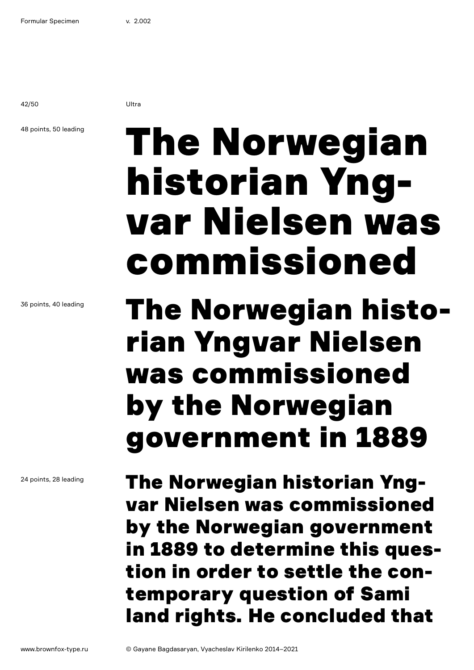42/50 Ultra

## 48 points, 50 leading

# The Norwegian historian Yngvar Nielsen was commissioned

## The Norwegian historian Yngvar Nielsen was commissioned by the Norwegian government in 1889

The Norwegian historian Yngvar Nielsen was commissioned by the Norwegian government in 1889 to determine this question in order to settle the contemporary question of Sami land rights. He concluded that

36 points, 40 leading

24 points, 28 leading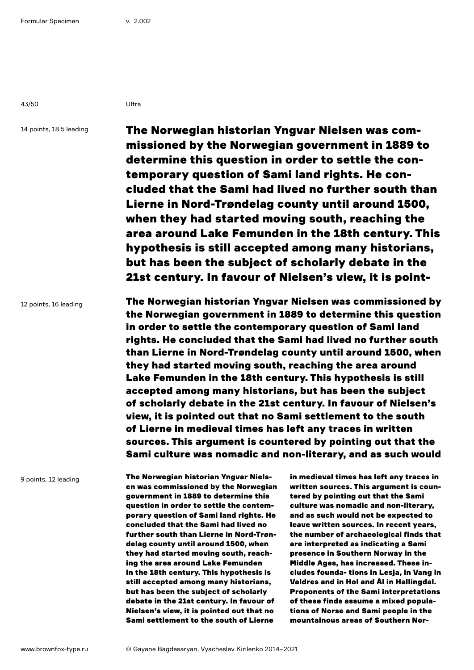43/50 Ultra

14 points, 18.5 leading

The Norwegian historian Yngvar Nielsen was commissioned by the Norwegian government in 1889 to determine this question in order to settle the contemporary question of Sami land rights. He concluded that the Sami had lived no further south than Lierne in Nord-Trøndelag county until around 1500, when they had started moving south, reaching the area around Lake Femunden in the 18th century. This hypothesis is still accepted among many historians, but has been the subject of scholarly debate in the 21st century. In favour of Nielsen's view, it is point-

12 points, 16 leading

The Norwegian historian Yngvar Nielsen was commissioned by the Norwegian government in 1889 to determine this question in order to settle the contemporary question of Sami land rights. He concluded that the Sami had lived no further south than Lierne in Nord-Trøndelag county until around 1500, when they had started moving south, reaching the area around Lake Femunden in the 18th century. This hypothesis is still accepted among many historians, but has been the subject of scholarly debate in the 21st century. In favour of Nielsen's view, it is pointed out that no Sami settlement to the south of Lierne in medieval times has left any traces in written sources. This argument is countered by pointing out that the Sami culture was nomadic and non-literary, and as such would

9 points, 12 leading

The Norwegian historian Yngvar Nielsen was commissioned by the Norwegian government in 1889 to determine this question in order to settle the contemporary question of Sami land rights. He concluded that the Sami had lived no further south than Lierne in Nord-Trøndelag county until around 1500, when they had started moving south, reaching the area around Lake Femunden in the 18th century. This hypothesis is still accepted among many historians, but has been the subject of scholarly debate in the 21st century. In favour of Nielsen's view, it is pointed out that no Sami settlement to the south of Lierne

in medieval times has left any traces in written sources. This argument is countered by pointing out that the Sami culture was nomadic and non-literary, and as such would not be expected to leave written sources. In recent years, the number of archaeological finds that are interpreted as indicating a Sami presence in Southern Norway in the Middle Ages, has increased. These includes founda- tions in Lesja, in Vang in Valdres and in Hol and Ål in Hallingdal. Proponents of the Sami interpretations of these finds assume a mixed populations of Norse and Sami people in the mountainous areas of Southern Nor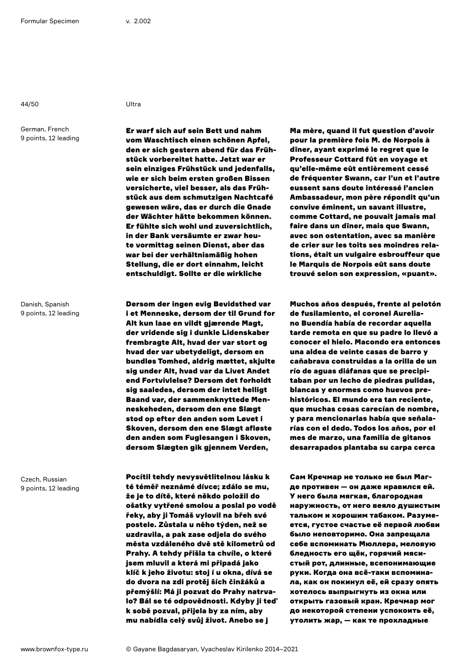44/50 Ultra

German, French 9 points, 12 leading

Danish, Spanish 9 points, 12 leading

Czech, Russian 9 points, 12 leading

Er warf sich auf sein Bett und nahm vom Waschtisch einen schönen Apfel, den er sich gestern abend für das Frühstück vorbereitet hatte. Jetzt war er sein einziges Frühstück und jedenfalls, wie er sich beim ersten großen Bissen versicherte, viel besser, als das Frühstück aus dem schmutzigen Nachtcafé gewesen wäre, das er durch die Gnade der Wächter hätte bekommen können. Er fühlte sich wohl und zuversichtlich, in der Bank versäumte er zwar heute vormittag seinen Dienst, aber das war bei der verhältnismäßig hohen Stellung, die er dort einnahm, leicht entschuldigt. Sollte er die wirkliche

Dersom der ingen evig Bevidsthed var i et Menneske, dersom der til Grund for Alt kun laae en vildt gjærende Magt, der vridende sig i dunkle Lidenskaber frembragte Alt, hvad der var stort og hvad der var ubetydeligt, dersom en bundløs Tomhed, aldrig mættet, skjulte sig under Alt, hvad var da Livet Andet end Fortvivlelse? Dersom det forholdt sig saaledes, dersom der intet helligt Baand var, der sammenknyttede Menneskeheden, dersom den ene Slægt stod op efter den anden som Løvet i Skoven, dersom den ene Slægt afløste den anden som Fuglesangen i Skoven, dersom Slægten gik gjennem Verden,

Pocítil tehdy nevysvětlitelnou lásku k té téměř neznámé dívce; zdálo se mu, že je to dítě, které někdo položil do ošatky vytřené smolou a poslal po vodě řeky, aby ji Tomáš vylovil na břeh své postele. Zůstala u něho týden, než se uzdravila, a pak zase odjela do svého města vzdáleného dvě stě kilometrů od Prahy. A tehdy přišla ta chvíle, o které jsem mluvil a která mi připadá jako klíč k jeho životu: stoj í u okna, dívá se do dvora na zdi protěj ších činžáků a přemýšlí: Má ji pozvat do Prahy natrvalo? Bál se té odpovědnosti. Kdyby ji teď k sobě pozval, přijela by za ním, aby mu nabídla celý svůj život. Anebo se j

Ma mère, quand il fut question d'avoir pour la première fois M. de Norpois à dîner, ayant exprimé le regret que le Professeur Cottard fût en voyage et qu'elle-même eût entièrement cessé de fréquenter Swann, car l'un et l'autre eussent sans doute intéressé l'ancien Ambassadeur, mon père répondit qu'un convive éminent, un savant illustre, comme Cottard, ne pouvait jamais mal faire dans un dîner, mais que Swann, avec son ostentation, avec sa manière de crier sur les toits ses moindres relations, était un vulgaire esbrouffeur que le Marquis de Norpois eût sans doute trouvé selon son expression, «puant».

Muchos años después, frente al pelotón de fusilamiento, el coronel Aureliano Buendía había de recordar aquella tarde remota en que su padre lo llevó a conocer el hielo. Macondo era entonces una aldea de veinte casas de barro y cañabrava construidas a la orilla de un río de aguas diáfanas que se precipitaban por un lecho de piedras pulidas, blancas y enormes como huevos prehistóricos. El mundo era tan reciente, que muchas cosas carecían de nombre, y para mencionarlas había que señalarías con el dedo. Todos los años, por el mes de marzo, una familia de gitanos desarrapados plantaba su carpa cerca

Сам Кречмар не только не был Магде противен — он даже нравился ей. У него была мягкая, благородная наружность, от него веяло душистым тальком и хорошим табаком. Разумеется, густое счастье её первой любви было неповторимо. Она запрещала себе вспоминать Мюллера, меловую бледность его щёк, горячий мясистый рот, длинные, всепонимающие руки. Когда она всё-таки вспоминала, как он покинул её, ей сразу опять хотелось выпрыгнуть из окна или открыть газовый кран. Кречмар мог до некоторой степени успокоить её, утолить жар, — как те прохладные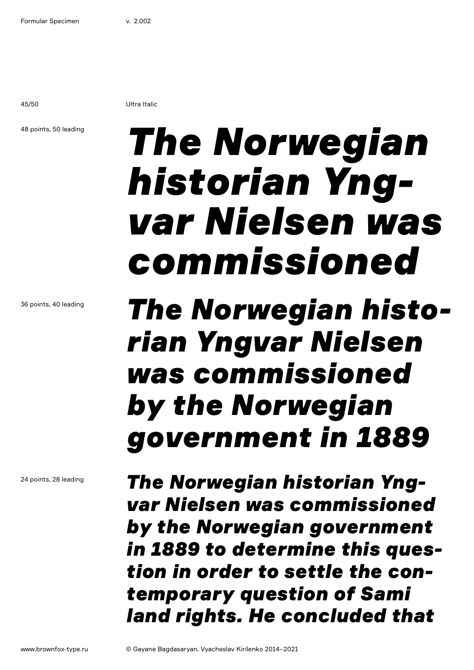45/50 Ultra Italic

### 48 points, 50 leading

# *The Norwegian historian Yngvar Nielsen was commissioned*

## *The Norwegian historian Yngvar Nielsen was commissioned by the Norwegian government in 1889*

*The Norwegian historian Yngvar Nielsen was commissioned by the Norwegian government in 1889 to determine this question in order to settle the contemporary question of Sami land rights. He concluded that* 

36 points, 40 leading

24 points, 28 leading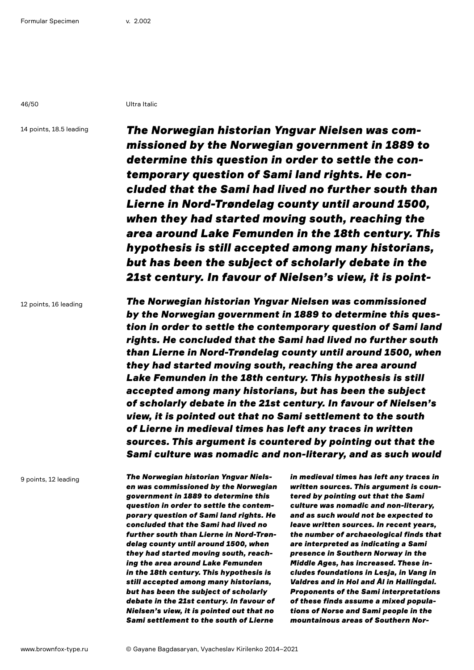46/50 Ultra Italic

14 points, 18.5 leading

*The Norwegian historian Yngvar Nielsen was commissioned by the Norwegian government in 1889 to determine this question in order to settle the contemporary question of Sami land rights. He concluded that the Sami had lived no further south than Lierne in Nord-Trøndelag county until around 1500, when they had started moving south, reaching the area around Lake Femunden in the 18th century. This hypothesis is still accepted among many historians, but has been the subject of scholarly debate in the 21st century. In favour of Nielsen's view, it is point-*

12 points, 16 leading

*The Norwegian historian Yngvar Nielsen was commissioned by the Norwegian government in 1889 to determine this question in order to settle the contemporary question of Sami land rights. He concluded that the Sami had lived no further south than Lierne in Nord-Trøndelag county until around 1500, when they had started moving south, reaching the area around Lake Femunden in the 18th century. This hypothesis is still accepted among many historians, but has been the subject of scholarly debate in the 21st century. In favour of Nielsen's view, it is pointed out that no Sami settlement to the south of Lierne in medieval times has left any traces in written sources. This argument is countered by pointing out that the Sami culture was nomadic and non-literary, and as such would* 

9 points, 12 leading

*The Norwegian historian Yngvar Nielsen was commissioned by the Norwegian government in 1889 to determine this question in order to settle the contemporary question of Sami land rights. He concluded that the Sami had lived no further south than Lierne in Nord-Trøndelag county until around 1500, when they had started moving south, reaching the area around Lake Femunden in the 18th century. This hypothesis is still accepted among many historians, but has been the subject of scholarly debate in the 21st century. In favour of Nielsen's view, it is pointed out that no Sami settlement to the south of Lierne* 

*in medieval times has left any traces in written sources. This argument is countered by pointing out that the Sami culture was nomadic and non-literary, and as such would not be expected to leave written sources. In recent years, the number of archaeological finds that are interpreted as indicating a Sami presence in Southern Norway in the Middle Ages, has increased. These includes foundations in Lesja, in Vang in Valdres and in Hol and Ål in Hallingdal. Proponents of the Sami interpretations of these finds assume a mixed populations of Norse and Sami people in the mountainous areas of Southern Nor-*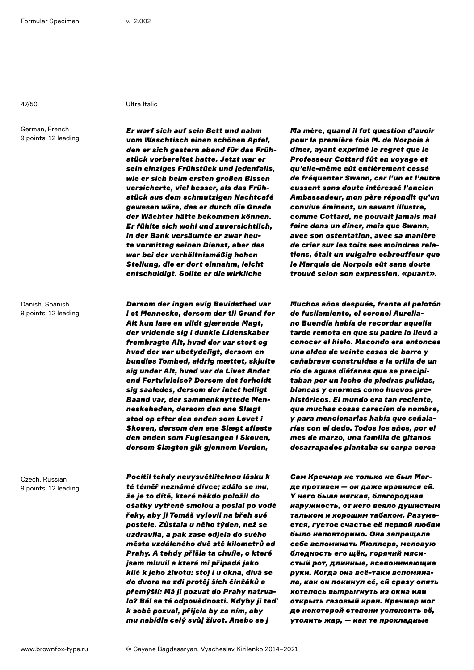German, French 9 points, 12 leading

Danish, Spanish 9 points, 12 leading

Czech, Russian 9 points, 12 leading

## 47/50 Ultra Italic

*Er warf sich auf sein Bett und nahm vom Waschtisch einen schönen Apfel, den er sich gestern abend für das Frühstück vorbereitet hatte. Jetzt war er sein einziges Frühstück und jedenfalls, wie er sich beim ersten großen Bissen versicherte, viel besser, als das Frühstück aus dem schmutzigen Nachtcafé gewesen wäre, das er durch die Gnade der Wächter hätte bekommen können. Er fühlte sich wohl und zuversichtlich, in der Bank versäumte er zwar heute vormittag seinen Dienst, aber das war bei der verhältnismäßig hohen Stellung, die er dort einnahm, leicht entschuldigt. Sollte er die wirkliche* 

*Dersom der ingen evig Bevidsthed var i et Menneske, dersom der til Grund for Alt kun laae en vildt gjærende Magt, der vridende sig i dunkle Lidenskaber frembragte Alt, hvad der var stort og hvad der var ubetydeligt, dersom en bundløs Tomhed, aldrig mættet, skjulte sig under Alt, hvad var da Livet Andet end Fortvivlelse? Dersom det forholdt sig saaledes, dersom der intet helligt Baand var, der sammenknyttede Menneskeheden, dersom den ene Slægt stod op efter den anden som Løvet i Skoven, dersom den ene Slægt afløste den anden som Fuglesangen i Skoven, dersom Slægten gik gjennem Verden,* 

*Pocítil tehdy nevysvětlitelnou lásku k té téměř neznámé dívce; zdálo se mu, že je to dítě, které někdo položil do ošatky vytřené smolou a poslal po vodě řeky, aby ji Tomáš vylovil na břeh své postele. Zůstala u něho týden, než se uzdravila, a pak zase odjela do svého města vzdáleného dvě stě kilometrů od Prahy. A tehdy přišla ta chvíle, o které jsem mluvil a která mi připadá jako klíč k jeho životu: stoj í u okna, dívá se do dvora na zdi protěj ších činžáků a přemýšlí: Má ji pozvat do Prahy natrvalo? Bál se té odpovědnosti. Kdyby ji teď k sobě pozval, přijela by za ním, aby mu nabídla celý svůj život. Anebo se j* 

*Ma mère, quand il fut question d'avoir pour la première fois M. de Norpois à dîner, ayant exprimé le regret que le Professeur Cottard fût en voyage et qu'elle-même eût entièrement cessé de fréquenter Swann, car l'un et l'autre eussent sans doute intéressé l'ancien Ambassadeur, mon père répondit qu'un convive éminent, un savant illustre, comme Cottard, ne pouvait jamais mal faire dans un dîner, mais que Swann, avec son ostentation, avec sa manière de crier sur les toits ses moindres relations, était un vulgaire esbrouffeur que le Marquis de Norpois eût sans doute trouvé selon son expression, «puant».* 

*Muchos años después, frente al pelotón de fusilamiento, el coronel Aureliano Buendía había de recordar aquella tarde remota en que su padre lo llevó a conocer el hielo. Macondo era entonces una aldea de veinte casas de barro y cañabrava construidas a la orilla de un río de aguas diáfanas que se precipitaban por un lecho de piedras pulidas, blancas y enormes como huevos prehistóricos. El mundo era tan reciente, que muchas cosas carecían de nombre, y para mencionarlas había que señalarías con el dedo. Todos los años, por el mes de marzo, una familia de gitanos desarrapados plantaba su carpa cerca* 

*Сам Кречмар не только не был Магде противен — он даже нравился ей. У него была мягкая, благородная наружность, от него веяло душистым тальком и хорошим табаком. Разумеется, густое счастье её первой любви было неповторимо. Она запрещала себе вспоминать Мюллера, меловую бледность его щёк, горячий мясистый рот, длинные, всепонимающие руки. Когда она всё-таки вспоминала, как он покинул её, ей сразу опять хотелось выпрыгнуть из окна или открыть газовый кран. Кречмар мог до некоторой степени успокоить её, утолить жар, — как те прохладные*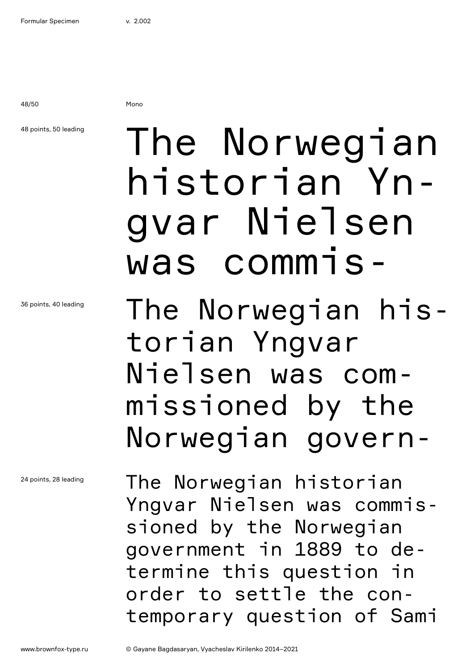48/50 Mono

48 points, 50 leading

36 points, 40 leading

24 points, 28 leading

# The Norwegian historian Yngvar Nielsen was commis-

The Norwegian historian Yngvar Nielsen was commissioned by the Norwegian govern-

The Norwegian historian Yngvar Nielsen was commissioned by the Norwegian government in 1889 to determine this question in order to settle the contemporary question of Sami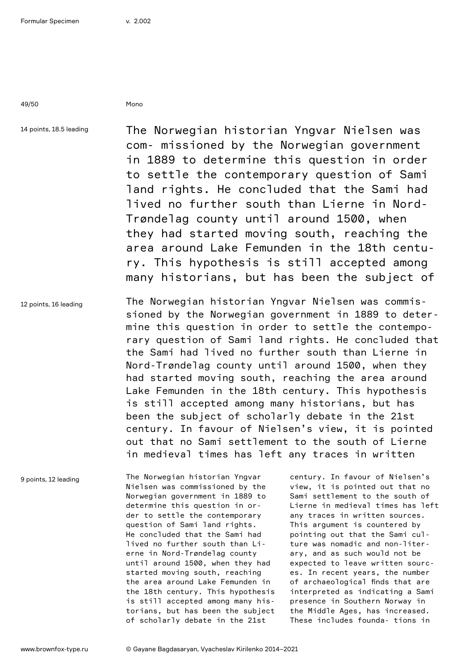49/50 Mono

14 points, 18.5 leading

The Norwegian historian Yngvar Nielsen was com- missioned by the Norwegian government in 1889 to determine this question in order to settle the contemporary question of Sami land rights. He concluded that the Sami had lived no further south than Lierne in Nord-Trøndelag county until around 1500, when they had started moving south, reaching the area around Lake Femunden in the 18th century. This hypothesis is still accepted among many historians, but has been the subject of

12 points, 16 leading The Norwegian historian Yngvar Nielsen was commissioned by the Norwegian government in 1889 to determine this question in order to settle the contemporary question of Sami land rights. He concluded that the Sami had lived no further south than Lierne in Nord-Trøndelag county until around 1500, when they had started moving south, reaching the area around Lake Femunden in the 18th century. This hypothesis is still accepted among many historians, but has been the subject of scholarly debate in the 21st century. In favour of Nielsen's view, it is pointed out that no Sami settlement to the south of Lierne in medieval times has left any traces in written

9 points, 12 leading

The Norwegian historian Yngvar Nielsen was commissioned by the Norwegian government in 1889 to determine this question in order to settle the contemporary question of Sami land rights. He concluded that the Sami had lived no further south than Lierne in Nord-Trøndelag county until around 1500, when they had started moving south, reaching the area around Lake Femunden in the 18th century. This hypothesis is still accepted among many historians, but has been the subject of scholarly debate in the 21st

century. In favour of Nielsen's view, it is pointed out that no Sami settlement to the south of Lierne in medieval times has left any traces in written sources. This argument is countered by pointing out that the Sami culture was nomadic and non-literary, and as such would not be expected to leave written sources. In recent years, the number of archaeological finds that are interpreted as indicating a Sami presence in Southern Norway in the Middle Ages, has increased. These includes founda- tions in